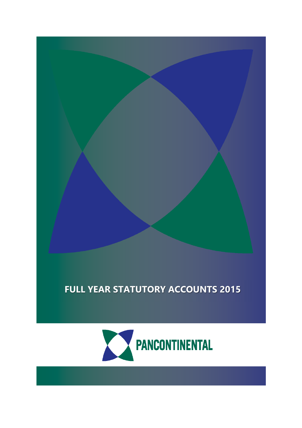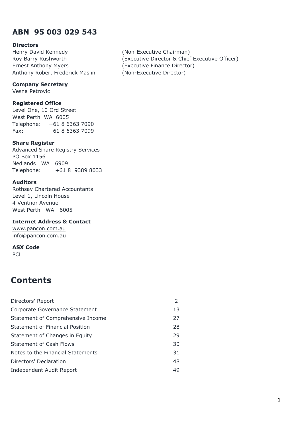### **ABN 95 003 029 543**

#### **Directors**

Henry David Kennedy **Executive Chairman**) Ernest Anthony Myers (Executive Finance Director) Anthony Robert Frederick Maslin (Non-Executive Director)

#### **Company Secretary**

Vesna Petrovic

### **Registered Office**

Level One, 10 Ord Street West Perth WA 6005 Telephone: +61 8 6363 7090 Fax: +61 8 6363 7099

#### **Share Register**

Advanced Share Registry Services PO Box 1156 Nedlands WA 6909 Telephone: +61 8 9389 8033

#### **Auditors**

Rothsay Chartered Accountants Level 1, Lincoln House 4 Ventnor Avenue West Perth WA 6005

**Internet Address & Contact**  www.pancon.com.au info@pancon.com.au

#### **ASX Code**

PCL.

## **Contents**

| Directors' Report                      | 2  |
|----------------------------------------|----|
| Corporate Governance Statement         | 13 |
| Statement of Comprehensive Income      | 27 |
| <b>Statement of Financial Position</b> | 28 |
| Statement of Changes in Equity         | 29 |
| <b>Statement of Cash Flows</b>         | 30 |
| Notes to the Financial Statements      | 31 |
| Directors' Declaration                 | 48 |
| Independent Audit Report               | 49 |

Roy Barry Rushworth (Executive Director & Chief Executive Officer)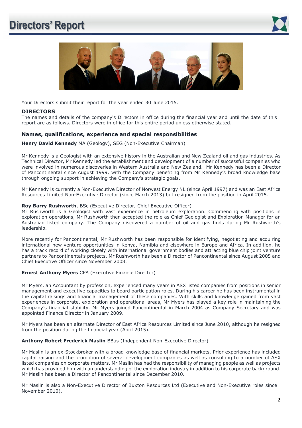# **Directors' Report**





Your Directors submit their report for the year ended 30 June 2015.

**DIRECTORS**<br>The names and details of the company's Directors in office during the financial year and until the date of this report are as follows. Directors were in office for this entire period unless otherwise stated.

#### **Names, qualifications, experience and special responsibilities**

**Henry David Kennedy** MA (Geology), SEG (Non-Executive Chairman)

Mr Kennedy is a Geologist with an extensive history in the Australian and New Zealand oil and gas industries. As Technical Director, Mr Kennedy led the establishment and development of a number of successful companies who were involved in numerous discoveries in Western Australia and New Zealand. Mr Kennedy has been a Director of Pancontinental since August 1999, with the Company benefiting from Mr Kennedy's broad knowledge base through ongoing support in achieving the Company's strategic goals.

Mr Kennedy is currently a Non-Executive Director of Norwest Energy NL (since April 1997) and was an East Africa Resources Limited Non-Executive Director (since March 2013) but resigned from the position in April 2015.

#### **Roy Barry Rushworth**, BSc (Executive Director, Chief Executive Officer)

Mr Rushworth is a Geologist with vast experience in petroleum exploration. Commencing with positions in exploration operations, Mr Rushworth then accepted the role as Chief Geologist and Exploration Manager for an Australian listed company. The Company discovered a number of oil and gas finds during Mr Rushworth's leadership.

More recently for Pancontinental, Mr Rushworth has been responsible for identifying, negotiating and acquiring international new venture opportunities in Kenya, Namibia and elsewhere in Europe and Africa. In addition, he has a track record of working closely with international government bodies and attracting blue chip joint venture partners to Pancontinental's projects. Mr Rushworth has been a Director of Pancontinental since August 2005 and Chief Executive Officer since November 2008.

#### **Ernest Anthony Myers** CPA (Executive Finance Director)

Mr Myers, an Accountant by profession, experienced many years in ASX listed companies from positions in senior management and executive capacities to board participation roles. During his career he has been instrumental in the capital raisings and financial management of these companies. With skills and knowledge gained from vast experiences in corporate, exploration and operational areas, Mr Myers has played a key role in maintaining the Company's financial stability. Mr Myers joined Pancontinental in March 2004 as Company Secretary and was appointed Finance Director in January 2009.

Mr Myers has been an alternate Director of East Africa Resources Limited since June 2010, although he resigned from the position during the financial year (April 2015).

#### **Anthony Robert Frederick Maslin** BBus (Independent Non-Executive Director)

Mr Maslin is an ex-Stockbroker with a broad knowledge base of financial markets. Prior experience has included capital raising and the promotion of several development companies as well as consulting to a number of ASX listed companies on corporate matters. Mr Maslin has had the responsibility of managing people as well as projects which has provided him with an understanding of the exploration industry in addition to his corporate background. Mr Maslin has been a Director of Pancontinental since December 2010.

Mr Maslin is also a Non-Executive Director of Buxton Resources Ltd (Executive and Non-Executive roles since November 2010).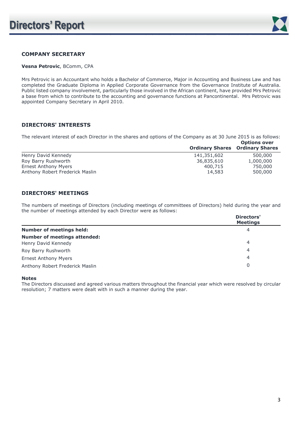

#### **COMPANY SECRETARY**

#### **Vesna Petrovic**, BComm, CPA

Mrs Petrovic is an Accountant who holds a Bachelor of Commerce, Major in Accounting and Business Law and has completed the Graduate Diploma in Applied Corporate Governance from the Governance Institute of Australia. Public listed company involvement, particularly those involved in the African continent, have provided Mrs Petrovic a base from which to contribute to the accounting and governance functions at Pancontinental. Mrs Petrovic was appointed Company Secretary in April 2010.

#### **DIRECTORS' INTERESTS**

The relevant interest of each Director in the shares and options of the Company as at 30 June 2015 is as follows: **Options over** 

|                                 |             | <b>UPLIUIS UVEI</b><br><b>Ordinary Shares Ordinary Shares</b> |
|---------------------------------|-------------|---------------------------------------------------------------|
| Henry David Kennedy             | 141,351,602 | 500,000                                                       |
| Roy Barry Rushworth             | 36,835,610  | 1,000,000                                                     |
| Ernest Anthony Myers            | 400,715     | 750,000                                                       |
| Anthony Robert Frederick Maslin | 14,583      | 500,000                                                       |

#### **DIRECTORS' MEETINGS**

The numbers of meetings of Directors (including meetings of committees of Directors) held during the year and the number of meetings attended by each Director were as follows: **Directors'** 

|                                     | Directors'<br><b>Meetings</b> |
|-------------------------------------|-------------------------------|
| <b>Number of meetings held:</b>     | 4                             |
| <b>Number of meetings attended:</b> |                               |
| Henry David Kennedy                 | 4                             |
| Roy Barry Rushworth                 | 4                             |
| <b>Ernest Anthony Myers</b>         | 4                             |
| Anthony Robert Frederick Maslin     | 0                             |

#### **Notes**

The Directors discussed and agreed various matters throughout the financial year which were resolved by circular resolution; 7 matters were dealt with in such a manner during the year.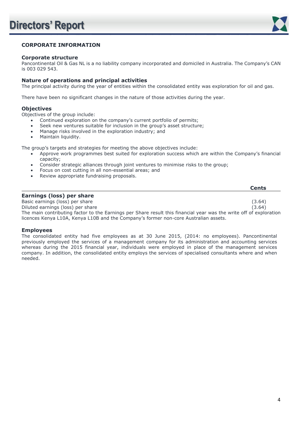

### **CORPORATE INFORMATION**

#### **Corporate structure**

Pancontinental Oil & Gas NL is a no liability company incorporated and domiciled in Australia. The Company's CAN is 003 029 543.

#### **Nature of operations and principal activities**

The principal activity during the year of entities within the consolidated entity was exploration for oil and gas.

There have been no significant changes in the nature of those activities during the year.

#### **Objectives**

Objectives of the group include:

- Continued exploration on the company's current portfolio of permits;
- Seek new ventures suitable for inclusion in the group's asset structure;
- Manage risks involved in the exploration industry; and
- Maintain liquidity.

The group's targets and strategies for meeting the above objectives include:

- Approve work programmes best suited for exploration success which are within the Company's financial capacity;
- Consider strategic alliances through joint ventures to minimise risks to the group;
- Focus on cost cutting in all non-essential areas; and
- Review appropriate fundraising proposals.

|                                                                                                                    | Cents  |
|--------------------------------------------------------------------------------------------------------------------|--------|
| Earnings (loss) per share                                                                                          |        |
| Basic earnings (loss) per share                                                                                    | (3.64) |
| Diluted earnings (loss) per share                                                                                  | (3.64) |
| The main contributing factor to the Earnings per Share result this financial year was the write off of exploration |        |
| licences Kenya L10A, Kenya L10B and the Company's former non-core Australian assets.                               |        |

#### **Employees**

The consolidated entity had five employees as at 30 June 2015, (2014: no employees). Pancontinental previously employed the services of a management company for its administration and accounting services whereas during the 2015 financial year, individuals were employed in place of the management services company. In addition, the consolidated entity employs the services of specialised consultants where and when needed.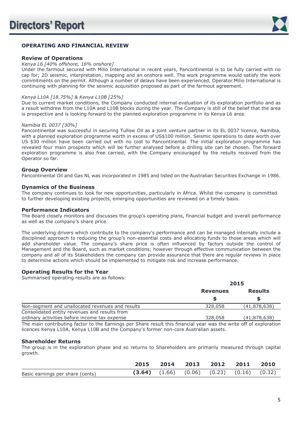

#### **OPERATING AND FINANCIAL REVIEW**

#### **Review of Operations**

#### *Kenya L6 [40% offshore, 16% onshore]*

Under the farmout secured with Milio International in recent years, Pancontinental is to be fully carried with no cap for; 2D seismic, interpretation, mapping and an onshore well. The work programme would satisfy the work commitments on the permit. Although a number of delays have been experienced, Operator Milio International is continuing with planning for the seismic acquisition proposed as part of the farmout agreement.

#### *Kenya L10A [18.75%] & Kenya L10B [25%]*

Due to current market conditions, the Company conducted internal evaluation of its exploration portfolio and as a result withdrew from the L10A and L10B blocks during the year. The Company is still of the belief that the area is prospective and is looking forward to the planned exploration programme in its Kenya L6 area.

#### *Namibia EL 0037 [30%]*

Pancontinental was successful in securing Tullow Oil as a joint venture partner in its EL 0037 licence, Namibia, with a planned exploration programme worth in excess of US\$100 million. Seismic operations to date worth over US \$30 million have been carried out with no cost to Pancontinental. The initial exploration programme has revealed four main prospects which will be further analysed before a drilling site can be chosen. The forward exploration programme is also free carried, with the Company encouraged by the results received from the Operator so far.

#### **Group Overview**

Pancontinental Oil and Gas NL was incorporated in 1985 and listed on the Australian Securities Exchange in 1986.

#### **Dynamics of the Business**

The company continues to look for new opportunities, particularly in Africa. Whilst the company is committed to further developing existing projects, emerging opportunities are reviewed on a timely basis.

#### **Performance Indicators**

The Board closely monitors and discusses the group's operating plans, financial budget and overall performance as well as the company's share price.

The underlying drivers which contribute to the company's performance and can be managed internally include a disciplined approach to reducing the group's non-essential costs and allocating funds to those areas which will add shareholder value. The company's share price is often influenced by factors outside the control of Management and the Board, such as market conditions; however through effective communication between the company and all of its Stakeholders the company can provide assurance that there are regular reviews in place to determine actions which should be implemented to mitigate risk and increase performance.

#### **Operating Results for the Year**

Summarised operating results are as follows:

| barmiansed operating results are as rollows.                                                                       | 2015            |                |
|--------------------------------------------------------------------------------------------------------------------|-----------------|----------------|
|                                                                                                                    | <b>Revenues</b> | <b>Results</b> |
|                                                                                                                    |                 |                |
| Non-segment and unallocated revenues and results                                                                   | 328,058         | (41,878,638)   |
| Consolidated entity revenues and results from                                                                      |                 |                |
| ordinary activities before income tax expense                                                                      | 328,058         | (41,878,638)   |
| The meets contributing factor to the Formings non Choro noult this financial wasnusse the write off of curloustian |                 |                |

The main contributing factor to the Earnings per Share result this financial year was the write off of exploration licences Kenya L10A, Kenya L10B and the Company's former non-core Australian assets.

#### **Shareholder Returns**

The group is in the exploration phase and so returns to Shareholders are primarily measured through capital growth.

|                                  |  | 2015 2014 2013 2012 2011 2010                         |  |
|----------------------------------|--|-------------------------------------------------------|--|
| Basic earnings per share (cents) |  | $(3.64)$ $(1.66)$ $(0.06)$ $(0.23)$ $(0.16)$ $(0.32)$ |  |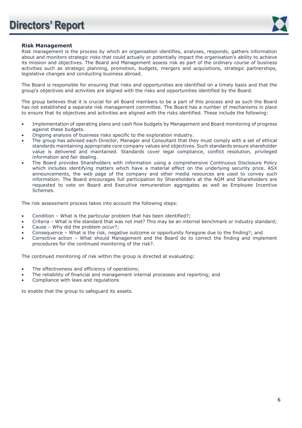

#### **Risk Management**

Risk management is the process by which an organisation identifies, analyses, responds, gathers information about and monitors strategic risks that could actually or potentially impact the organisation's ability to achieve its mission and objectives. The Board and Management assess risk as part of the ordinary course of business activities such as strategic planning, promotion, budgets, mergers and acquisitions, strategic partnerships, legislative changes and conducting business abroad.

The Board is responsible for ensuring that risks and opportunities are identified on a timely basis and that the group's objectives and activities are aligned with the risks and opportunities identified by the Board.

The group believes that it is crucial for all Board members to be a part of this process and as such the Board has not established a separate risk management committee. The Board has a number of mechanisms in place to ensure that its objectives and activities are aligned with the risks identified. These include the following:

- Implementation of operating plans and cash flow budgets by Management and Board monitoring of progress against these budgets.
- Ongoing analysis of business risks specific to the exploration industry.
- The group has advised each Director, Manager and Consultant that they must comply with a set of ethical standards maintaining appropriate core company values and objectives. Such standards ensure shareholder value is delivered and maintained. Standards cover legal compliance, conflict resolution, privileged information and fair dealing.
- The Board provides Shareholders with information using a comprehensive Continuous Disclosure Policy which includes identifying matters which have a material effect on the underlying security price. ASX announcements, the web page of the company and other media resources are used to convey such information. The Board encourages full participation by Shareholders at the AGM and Shareholders are requested to vote on Board and Executive remuneration aggregates as well as Employee Incentive Schemes.

The risk assessment process takes into account the following steps:

- Condition What is the particular problem that has been identified?;
- Criteria What is the standard that was not met? This may be an internal benchmark or industry standard;
- Cause Why did the problem occur?:
- Consequence What is the risk, negative outcome or opportunity foregone due to the finding?; and
- Corrective action What should Management and the Board do to correct the finding and implement procedures for the continued monitoring of the risk?.

The continued monitoring of risk within the group is directed at evaluating:

- The effectiveness and efficiency of operations;
- The reliability of financial and management internal processes and reporting; and
- Compliance with laws and regulations

to enable that the group to safeguard its assets.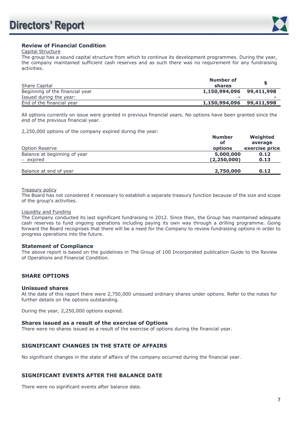

### **Review of Financial Condition**

Capital Structure

The group has a sound capital structure from which to continue its development programmes. During the year, the company maintained sufficient cash reserves and as such there was no requirement for any fundraising activities.

| Number of<br>shares      |  |
|--------------------------|--|
| 1,150,994,096 99,411,998 |  |
| $\equiv$                 |  |
| 1,150,994,096 99,411,998 |  |
|                          |  |

All options currently on issue were granted in previous financial years. No options have been granted since the end of the previous financial year.

2,250,000 options of the company expired during the year:

|                              | <b>Number</b> | Weighted       |
|------------------------------|---------------|----------------|
|                              | of            | average        |
| Option Reserve               | options       | exercise price |
| Balance at beginning of year | 5,000,000     | 0.12           |
| - expired                    | (2, 250, 000) | 0.13           |
| Balance at end of year       | 2,750,000     | 0.12           |

#### Treasury policy

The Board has not considered it necessary to establish a separate treasury function because of the size and scope of the group's activities.

#### Liquidity and Funding

The Company conducted its last significant fundraising in 2012. Since then, the Group has maintained adequate cash reserves to fund ongoing operations including paying its own way through a drilling programme. Going forward the Board recognises that there will be a need for the Company to review fundraising options in order to progress operations into the future.

#### **Statement of Compliance**

The above report is based on the guidelines in The Group of 100 Incorporated publication Guide to the Review of Operations and Financial Condition.

#### **SHARE OPTIONS**

#### **Unissued shares**

At the date of this report there were 2,750,000 unissued ordinary shares under options. Refer to the notes for further details on the options outstanding.

During the year, 2,250,000 options expired.

#### **Shares issued as a result of the exercise of Options**

There were no shares issued as a result of the exercise of options during the financial year.

#### **SIGNIFICANT CHANGES IN THE STATE OF AFFAIRS**

No significant changes in the state of affairs of the company occurred during the financial year.

#### **SIGNIFICANT EVENTS AFTER THE BALANCE DATE**

There were no significant events after balance date.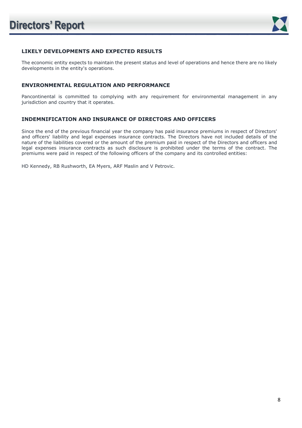

#### **LIKELY DEVELOPMENTS AND EXPECTED RESULTS**

The economic entity expects to maintain the present status and level of operations and hence there are no likely developments in the entity's operations.

#### **ENVIRONMENTAL REGULATION AND PERFORMANCE**

Pancontinental is committed to complying with any requirement for environmental management in any jurisdiction and country that it operates.

#### **INDEMNIFICATION AND INSURANCE OF DIRECTORS AND OFFICERS**

Since the end of the previous financial year the company has paid insurance premiums in respect of Directors' and officers' liability and legal expenses insurance contracts. The Directors have not included details of the nature of the liabilities covered or the amount of the premium paid in respect of the Directors and officers and legal expenses insurance contracts as such disclosure is prohibited under the terms of the contract. The premiums were paid in respect of the following officers of the company and its controlled entities:

HD Kennedy, RB Rushworth, EA Myers, ARF Maslin and V Petrovic.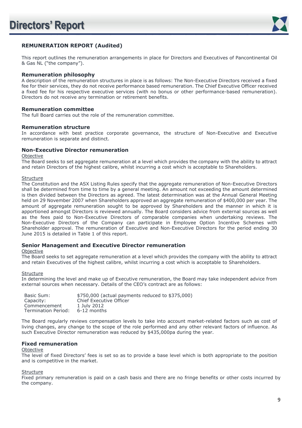

### **REMUNERATION REPORT (Audited)**

This report outlines the remuneration arrangements in place for Directors and Executives of Pancontinental Oil & Gas NL ("the company").

#### **Remuneration philosophy**

A description of the remuneration structures in place is as follows: The Non-Executive Directors received a fixed fee for their services, they do not receive performance based remuneration. The Chief Executive Officer received a fixed fee for his respective executive services (with no bonus or other performance-based remuneration). Directors do not receive any termination or retirement benefits.

#### **Remuneration committee**

The full Board carries out the role of the remuneration committee.

#### **Remuneration structure**

In accordance with best practice corporate governance, the structure of Non-Executive and Executive remuneration is separate and distinct.

#### **Non-Executive Director remuneration**

#### **Objective**

The Board seeks to set aggregate remuneration at a level which provides the company with the ability to attract and retain Directors of the highest calibre, whilst incurring a cost which is acceptable to Shareholders.

#### **Structure**

The Constitution and the ASX Listing Rules specify that the aggregate remuneration of Non-Executive Directors shall be determined from time to time by a general meeting. An amount not exceeding the amount determined is then divided between the Directors as agreed. The latest determination was at the Annual General Meeting held on 29 November 2007 when Shareholders approved an aggregate remuneration of \$400,000 per year. The amount of aggregate remuneration sought to be approved by Shareholders and the manner in which it is apportioned amongst Directors is reviewed annually. The Board considers advice from external sources as well as the fees paid to Non-Executive Directors of comparable companies when undertaking reviews. The Non-Executive Directors of the Company can participate in Employee Option Incentive Schemes with Shareholder approval. The remuneration of Executive and Non-Executive Directors for the period ending 30 June 2015 is detailed in Table 1 of this report.

#### **Senior Management and Executive Director remuneration**

#### Objective

The Board seeks to set aggregate remuneration at a level which provides the company with the ability to attract and retain Executives of the highest calibre, whilst incurring a cost which is acceptable to Shareholders.

#### **Structure**

In determining the level and make up of Executive remuneration, the Board may take independent advice from external sources when necessary. Details of the CEO's contract are as follows:

| Basic Sum:          | $$750,000$ (actual payments reduced to $$375,000$ ) |
|---------------------|-----------------------------------------------------|
| Capacity:           | Chief Executive Officer                             |
| Commencement        | 1 July 2012                                         |
| Termination Period: | $6-12$ months                                       |

The Board regularly reviews compensation levels to take into account market-related factors such as cost of living changes, any change to the scope of the role performed and any other relevant factors of influence. As such Executive Director remuneration was reduced by \$435,000pa during the year.

#### **Fixed remuneration**

#### **Objective**

The level of fixed Directors' fees is set so as to provide a base level which is both appropriate to the position and is competitive in the market.

#### **Structure**

Fixed primary remuneration is paid on a cash basis and there are no fringe benefits or other costs incurred by the company.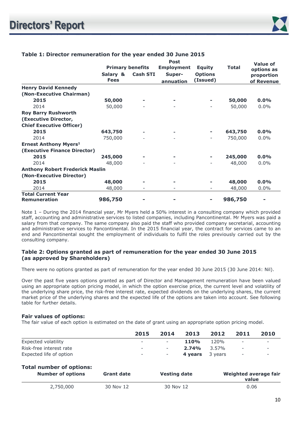

|                                        |             | <b>Post</b>             |                   |                |              | Value of   |
|----------------------------------------|-------------|-------------------------|-------------------|----------------|--------------|------------|
|                                        |             | <b>Primary benefits</b> | <b>Employment</b> | <b>Equity</b>  | <b>Total</b> | options as |
|                                        | Salary &    | <b>Cash STI</b>         | Super-            | <b>Options</b> |              | proportion |
|                                        | <b>Fees</b> |                         | annuation         | (Issued)       |              | of Revenue |
| <b>Henry David Kennedy</b>             |             |                         |                   |                |              |            |
| (Non-Executive Chairman)               |             |                         |                   |                |              |            |
| 2015                                   | 50,000      |                         |                   |                | 50,000       | $0.0\%$    |
| 2014                                   | 50,000      |                         |                   |                | 50,000       | $0.0\%$    |
| <b>Roy Barry Rushworth</b>             |             |                         |                   |                |              |            |
| (Executive Director,                   |             |                         |                   |                |              |            |
| <b>Chief Executive Officer)</b>        |             |                         |                   |                |              |            |
| 2015                                   | 643,750     |                         |                   |                | 643,750      | 0.0%       |
| 2014                                   | 750,000     |                         |                   |                | 750,000      | $0.0\%$    |
| <b>Ernest Anthony Myers1</b>           |             |                         |                   |                |              |            |
| (Executive Finance Director)           |             |                         |                   |                |              |            |
| 2015                                   | 245,000     |                         |                   |                | 245,000      | 0.0%       |
| 2014                                   | 48,000      |                         |                   |                | 48,000       | 0.0%       |
| <b>Anthony Robert Frederick Maslin</b> |             |                         |                   |                |              |            |
| (Non-Executive Director)               |             |                         |                   |                |              |            |
| 2015                                   | 48,000      |                         |                   |                | 48,000       | 0.0%       |
| 2014                                   | 48,000      | -                       |                   |                | 48,000       | $0.0\%$    |
| <b>Total Current Year</b>              |             |                         |                   |                |              |            |
| <b>Remuneration</b>                    | 986,750     |                         |                   | $\blacksquare$ | 986,750      |            |

### **Table 1: Director remuneration for the year ended 30 June 2015**

Note 1 – During the 2014 financial year, Mr Myers held a 50% interest in a consulting company which provided staff, accounting and administrative services to listed companies, including Pancontinental. Mr Myers was paid a salary from that company. The same company also paid the staff who provided company secretarial, accounting and administrative services to Pancontinental. In the 2015 financial year, the contract for services came to an end and Pancontinental sought the employment of individuals to fulfil the roles previously carried out by the consulting company.

#### **Table 2: Options granted as part of remuneration for the year ended 30 June 2015 (as approved by Shareholders)**

There were no options granted as part of remuneration for the year ended 30 June 2015 (30 June 2014: Nil).

Over the past five years options granted as part of Director and Management remuneration have been valued using an appropriate option pricing model, in which the option exercise price, the current level and volatility of the underlying share price, the risk-free interest rate, expected dividends on the underlying shares, the current market price of the underlying shares and the expected life of the options are taken into account. See following table for further details.

#### **Fair values of options:**

The fair value of each option is estimated on the date of grant using an appropriate option pricing model.

|                                 | 2015                     | 2014                     | 2013        | 2012    | 2011                     | 2010                     |
|---------------------------------|--------------------------|--------------------------|-------------|---------|--------------------------|--------------------------|
| Expected volatility             | $\overline{\phantom{0}}$ | $\overline{\phantom{0}}$ | <b>110%</b> | 120%    | $\overline{\phantom{0}}$ | $\overline{\phantom{0}}$ |
| Risk-free interest rate         | $\overline{\phantom{a}}$ |                          | 2.74%       | 3.57%   | $\overline{\phantom{a}}$ | -                        |
| Expected life of option         | $\overline{\phantom{0}}$ |                          | 4 vears     | 3 vears | $\overline{\phantom{a}}$ |                          |
| <b>Total number of options:</b> |                          |                          |             |         |                          |                          |

| <b>Number of options</b> | <b>Grant date</b> | <b>Vesting date</b> | Weighted average fair<br>value |
|--------------------------|-------------------|---------------------|--------------------------------|
| 2,750,000                | 30 Nov 12         | 30 Nov 12           | 0.06                           |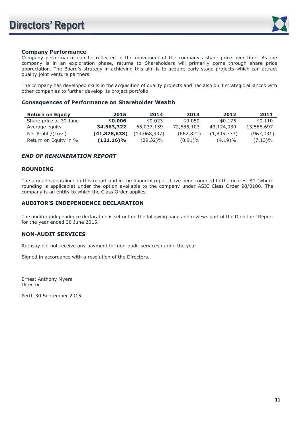

#### **Company Performance**

Company performance can be reflected in the movement of the company's share price over time. As the company is in an exploration phase, returns to Shareholders will primarily come through share price appreciation. The Board's strategy in achieving this aim is to acquire early stage projects which can attract quality joint venture partners.

The company has developed skills in the acquisition of quality projects and has also built strategic alliances with other companies to further develop its project portfolio.

#### **Consequences of Performance on Shareholder Wealth**

| <b>Return on Equity</b> | 2015         | 2014         | 2013       | 2012        | 2011       |
|-------------------------|--------------|--------------|------------|-------------|------------|
| Share price at 30 June  | \$0,006      | \$0.023      | \$0.050    | \$0.175     | \$0.110    |
| Average equity          | 34,563,322   | 65,037,139   | 72,686,103 | 43,124,939  | 13,566,697 |
| Net Profit /(Loss)      | (41,878,638) | (19,068,997) | (662,822)  | (1,805,773) | (967,031)  |
| Return on Equity in %   | $(121.16)\%$ | $(29.32)\%$  | $(0.91)\%$ | (4.19)%     | $(7.13)\%$ |

#### *END OF REMUNERATION REPORT*

#### **ROUNDING**

The amounts contained in this report and in the financial report have been rounded to the nearest \$1 (where rounding is applicable) under the option available to the company under ASIC Class Order 98/0100. The company is an entity to which the Class Order applies.

#### **AUDITOR'S INDEPENDENCE DECLARATION**

The auditor independence declaration is set out on the following page and reviews part of the Directors' Report for the year ended 30 June 2015.

#### **NON-AUDIT SERVICES**

Rothsay did not receive any payment for non-audit services during the year.

Signed in accordance with a resolution of the Directors.

Ernest Anthony Myers Director

Perth 30 September 2015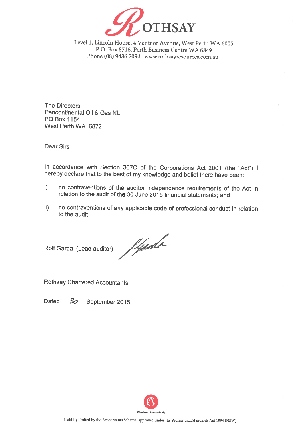

Level 1, Lincoln House, 4 Ventnor Avenue, West Perth WA 6005 P.O. Box 8716, Perth Business Centre WA 6849 Phone (08) 9486 7094 www.rothsayresources.com.au

**The Directors** Pancontinental Oil & Gas NL **PO Box 1154** West Perth WA 6872

**Dear Sirs** 

In accordance with Section 307C of the Corporations Act 2001 (the "Act") I hereby declare that to the best of my knowledge and belief there have been:

- no contraventions of the auditor independence requirements of the Act in  $\ddot{\phantom{0}}$ relation to the audit of the 30 June 2015 financial statements; and
- no contraventions of any applicable code of professional conduct in relation  $\mathbf{ii}$ to the audit.

Rolf Garda (Lead auditor)

fljado

**Rothsay Chartered Accountants** 

Dated 30 September 2015

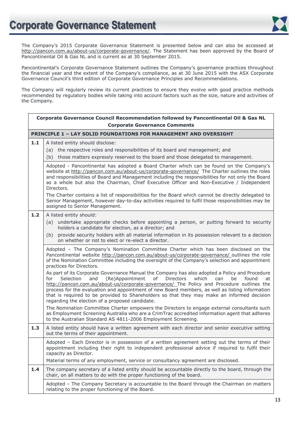

The Company's 2015 Corporate Governance Statement is presented below and can also be accessed at http://pancon.com.au/about-us/corporate-governance/. The Statement has been approved by the Board of Pancontinental Oil & Gas NL and is current as at 30 September 2015.

Pancontinental's Corporate Governance Statement outlines the Company's governance practices throughout the financial year and the extent of the Company's compliance, as at 30 June 2015 with the ASX Corporate Governance Council's third edition of Corporate Governance Principles and Recommendations.

The Company will regularly review its current practices to ensure they evolve with good practice methods recommended by regulatory bodies while taking into account factors such as the size, nature and activities of the Company.

|     | Corporate Governance Council Recommendation followed by Pancontinental Oil & Gas NL<br><b>Corporate Governance Comments</b>                                                                                                                                                                                                                                                                                                                                                                                                                           |  |  |
|-----|-------------------------------------------------------------------------------------------------------------------------------------------------------------------------------------------------------------------------------------------------------------------------------------------------------------------------------------------------------------------------------------------------------------------------------------------------------------------------------------------------------------------------------------------------------|--|--|
|     | <b>PRINCIPLE 1 - LAY SOLID FOUNDATIONS FOR MANAGEMENT AND OVERSIGHT</b>                                                                                                                                                                                                                                                                                                                                                                                                                                                                               |  |  |
| 1.1 | A listed entity should disclose:<br>(a) the respective roles and responsibilities of its board and management; and<br>those matters expressly reserved to the board and those delegated to management.<br>(b)                                                                                                                                                                                                                                                                                                                                         |  |  |
|     | Adopted - Pancontinental has adopted a Board Charter which can be found on the Company's<br>website at http://pancon.com.au/about-us/corporate-governance/ The Charter outlines the roles<br>and responsibilities of Board and Management including the responsibilities for not only the Board<br>as a whole but also the Chairman, Chief Executive Officer and Non-Executive / Independent<br>Directors.                                                                                                                                            |  |  |
|     | The Charter contains a list of responsibilities for the Board which cannot be directly delegated to<br>Senior Management, however day-to-day activities required to fulfil those responsibilities may be<br>assigned to Senior Management.                                                                                                                                                                                                                                                                                                            |  |  |
| 1.2 | A listed entity should:<br>undertake appropriate checks before appointing a person, or putting forward to security<br>(a)<br>holders a candidate for election, as a director; and<br>provide security holders with all material information in its possession relevant to a decision<br>(b)<br>on whether or not to elect or re-elect a director.                                                                                                                                                                                                     |  |  |
|     | Adopted - The Company's Nomination Committee Charter which has been disclosed on the<br>Pancontinental website http://pancon.com.au/about-us/corporate-governance/ outlines the role<br>of the Nomination Committee including the oversight of the Company's selection and appointment<br>practices for Directors.                                                                                                                                                                                                                                    |  |  |
|     | As part of its Corporate Governance Manual the Company has also adopted a Policy and Procedure<br>(Re)Appointment<br>of<br>Directors<br>for<br>Selection<br>and<br>which<br>can<br>be<br>found<br>at<br>http://pancon.com.au/about-us/corporate-governance/ The Policy and Procedure outlines the<br>process for the evaluation and appointment of new Board members, as well as listing information<br>that is required to be provided to Shareholders so that they may make an informed decision<br>regarding the election of a proposed candidate. |  |  |
|     | The Nomination Committee Charter empowers the Directors to engage external consultants such<br>as Employment Screening Australia who are a CrimTrac accredited information agent that adheres<br>to the Australian Standard AS 4811-2006 Employment Screening.                                                                                                                                                                                                                                                                                        |  |  |
| 1.3 | A listed entity should have a written agreement with each director and senior executive setting<br>out the terms of their appointment.                                                                                                                                                                                                                                                                                                                                                                                                                |  |  |
|     | Adopted - Each Director is in possession of a written agreement setting out the terms of their<br>appointment including their right to independent professional advice if required to fulfil their<br>capacity as Director.                                                                                                                                                                                                                                                                                                                           |  |  |
|     | Material terms of any employment, service or consultancy agreement are disclosed.                                                                                                                                                                                                                                                                                                                                                                                                                                                                     |  |  |
| 1.4 | The company secretary of a listed entity should be accountable directly to the board, through the<br>chair, on all matters to do with the proper functioning of the board.                                                                                                                                                                                                                                                                                                                                                                            |  |  |
|     | Adopted - The Company Secretary is accountable to the Board through the Chairman on matters<br>relating to the proper functioning of the Board.                                                                                                                                                                                                                                                                                                                                                                                                       |  |  |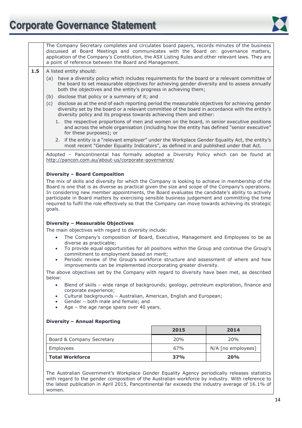

The Company Secretary completes and circulates board papers, records minutes of the business discussed at Board Meetings and communicates with the Board on: governance matters, application of the Company's Constitution, the ASX Listing Rules and other relevant laws. They are a point of reference between the Board and Management. 1.5 A listed entity should: (a) have a diversity policy which includes requirements for the board or a relevant committee of the board to set measurable objectives for achieving gender diversity and to assess annually both the objectives and the entity's progress in achieving them; (b) disclose that policy or a summary of it; and (c) disclose as at the end of each reporting period the measurable objectives for achieving gender diversity set by the board or a relevant committee of the board in accordance with the entity's diversity policy and its progress towards achieving them and either: 1. the respective proportions of men and women on the board, in senior executive positions and across the whole organisation (including how the entity has defined "senior executive" for these purposes); or 2. if the entity is a "relevant employer" under the Workplace Gender Equality Act, the entity's most recent "Gender Equality Indicators", as defined in and published under that Act. Adopted – Pancontinental has formally adopted a Diversity Policy which can be found at http://pancon.com.au/about-us/corporate-governance/ **Diversity – Board Composition** The mix of skills and diversity for which the Company is looking to achieve in membership of the Board is one that is as diverse as practical given the size and scope of the Company's operations. In considering new member appointments, the Board evaluates the candidate's ability to actively participate in Board matters by exercising sensible business judgement and committing the time required to fulfil the role effectively so that the Company can move towards achieving its strategic goals. **Diversity – Measurable Objectives** The main objectives with regard to diversity include: • The Company's composition of Board, Executive, Management and Employees to be as diverse as practicable; • To provide equal opportunities for all positions within the Group and continue the Group's commitment to employment based on merit; • Periodic review of the Group's workforce structure and assessment of where and how improvements can be implemented incorporating greater diversity. The above objectives set by the Company with regard to diversity have been met, as described below: • Blend of skills – wide range of backgrounds; geology, petroleum exploration, finance and corporate experience; • Cultural backgrounds – Australian, American, English and European; Gender - both male and female; and Age – the age range spans over 40 years. **Diversity – Annual Reporting 2015 2014**  Board & Company Secretary 20% 20% Employees 67% N/A [no employees] **Total Workforce 37% 20%**  The Australian Government's Workplace Gender Equality Agency periodically releases statistics with regard to the gender composition of the Australian workforce by industry. With reference to the latest publication in April 2015, Pancontinental far exceeds the industry average of 16.1% of women.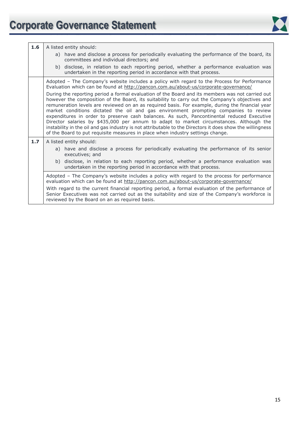

| 1.6 | A listed entity should:                                                                                                                                                                                                                                                                                                                                                                                                                                                                                                                                                                                                                                                                                                                                                                                                                                                                                                                                                         |  |  |
|-----|---------------------------------------------------------------------------------------------------------------------------------------------------------------------------------------------------------------------------------------------------------------------------------------------------------------------------------------------------------------------------------------------------------------------------------------------------------------------------------------------------------------------------------------------------------------------------------------------------------------------------------------------------------------------------------------------------------------------------------------------------------------------------------------------------------------------------------------------------------------------------------------------------------------------------------------------------------------------------------|--|--|
|     | a) have and disclose a process for periodically evaluating the performance of the board, its<br>committees and individual directors; and                                                                                                                                                                                                                                                                                                                                                                                                                                                                                                                                                                                                                                                                                                                                                                                                                                        |  |  |
|     | b) disclose, in relation to each reporting period, whether a performance evaluation was<br>undertaken in the reporting period in accordance with that process.                                                                                                                                                                                                                                                                                                                                                                                                                                                                                                                                                                                                                                                                                                                                                                                                                  |  |  |
|     | Adopted - The Company's website includes a policy with regard to the Process for Performance<br>Evaluation which can be found at http://pancon.com.au/about-us/corporate-governance/<br>During the reporting period a formal evaluation of the Board and its members was not carried out<br>however the composition of the Board, its suitability to carry out the Company's objectives and<br>remuneration levels are reviewed on an as required basis. For example, during the financial year<br>market conditions dictated the oil and gas environment prompting companies to review<br>expenditures in order to preserve cash balances. As such, Pancontinental reduced Executive<br>Director salaries by \$435,000 per annum to adapt to market circumstances. Although the<br>instability in the oil and gas industry is not attributable to the Directors it does show the willingness<br>of the Board to put requisite measures in place when industry settings change. |  |  |
| 1.7 | A listed entity should:<br>a) have and disclose a process for periodically evaluating the performance of its senior<br>executives; and<br>b) disclose, in relation to each reporting period, whether a performance evaluation was<br>undertaken in the reporting period in accordance with that process.<br>Adopted - The Company's website includes a policy with regard to the process for performance<br>evaluation which can be found at http://pancon.com.au/about-us/corporate-governance/<br>With regard to the current financial reporting period, a formal evaluation of the performance of<br>Senior Executives was not carried out as the suitability and size of the Company's workforce is                                                                                                                                                                                                                                                                         |  |  |
|     | reviewed by the Board on an as required basis.                                                                                                                                                                                                                                                                                                                                                                                                                                                                                                                                                                                                                                                                                                                                                                                                                                                                                                                                  |  |  |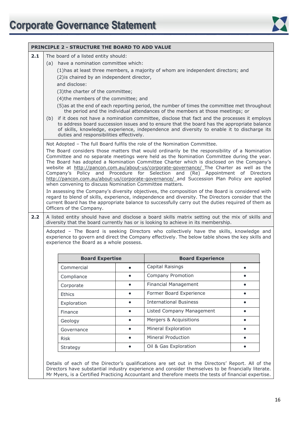

|     |                                                                                                                                                                                                                                                                                                              | <b>PRINCIPLE 2 - STRUCTURE THE BOARD TO ADD VALUE</b>                              |           |                                                                                                                                                                                                                                                                                                                 |           |  |
|-----|--------------------------------------------------------------------------------------------------------------------------------------------------------------------------------------------------------------------------------------------------------------------------------------------------------------|------------------------------------------------------------------------------------|-----------|-----------------------------------------------------------------------------------------------------------------------------------------------------------------------------------------------------------------------------------------------------------------------------------------------------------------|-----------|--|
| 2.1 | The board of a listed entity should:                                                                                                                                                                                                                                                                         |                                                                                    |           |                                                                                                                                                                                                                                                                                                                 |           |  |
|     |                                                                                                                                                                                                                                                                                                              | (a) have a nomination committee which:                                             |           |                                                                                                                                                                                                                                                                                                                 |           |  |
|     |                                                                                                                                                                                                                                                                                                              |                                                                                    |           | (1) has at least three members, a majority of whom are independent directors; and                                                                                                                                                                                                                               |           |  |
|     |                                                                                                                                                                                                                                                                                                              | (2) is chaired by an independent director,                                         |           |                                                                                                                                                                                                                                                                                                                 |           |  |
|     |                                                                                                                                                                                                                                                                                                              | and disclose:                                                                      |           |                                                                                                                                                                                                                                                                                                                 |           |  |
|     |                                                                                                                                                                                                                                                                                                              | (3) the charter of the committee;<br>(4) the members of the committee; and         |           |                                                                                                                                                                                                                                                                                                                 |           |  |
|     |                                                                                                                                                                                                                                                                                                              |                                                                                    |           | (5) as at the end of each reporting period, the number of times the committee met throughout                                                                                                                                                                                                                    |           |  |
|     |                                                                                                                                                                                                                                                                                                              |                                                                                    |           | the period and the individual attendances of the members at those meetings; or                                                                                                                                                                                                                                  |           |  |
|     |                                                                                                                                                                                                                                                                                                              | duties and responsibilities effectively.                                           |           | (b) if it does not have a nomination committee, disclose that fact and the processes it employs<br>to address board succession issues and to ensure that the board has the appropriate balance<br>of skills, knowledge, experience, independence and diversity to enable it to discharge its                    |           |  |
|     |                                                                                                                                                                                                                                                                                                              |                                                                                    |           | Not Adopted - The full Board fulfils the role of the Nomination Committee.                                                                                                                                                                                                                                      |           |  |
|     |                                                                                                                                                                                                                                                                                                              |                                                                                    |           | The Board considers those matters that would ordinarily be the responsibility of a Nomination                                                                                                                                                                                                                   |           |  |
|     |                                                                                                                                                                                                                                                                                                              |                                                                                    |           | Committee and no separate meetings were held as the Nomination Committee during the year.<br>The Board has adopted a Nomination Committee Charter which is disclosed on the Company's                                                                                                                           |           |  |
|     |                                                                                                                                                                                                                                                                                                              |                                                                                    |           | website at http://pancon.com.au/about-us/corporate-governance/ The Charter as well as the                                                                                                                                                                                                                       |           |  |
|     |                                                                                                                                                                                                                                                                                                              |                                                                                    |           | Company's Policy and Procedure for Selection and (Re) Appointment of Directors                                                                                                                                                                                                                                  |           |  |
|     |                                                                                                                                                                                                                                                                                                              | when convening to discuss Nomination Committee matters.                            |           | http://pancon.com.au/about-us/corporate-governance/ and Succession Plan Policy are applied                                                                                                                                                                                                                      |           |  |
|     |                                                                                                                                                                                                                                                                                                              |                                                                                    |           |                                                                                                                                                                                                                                                                                                                 |           |  |
|     | In assessing the Company's diversity objectives, the composition of the Board is considered with<br>regard to blend of skills, experience, independence and diversity. The Directors consider that the<br>current Board has the appropriate balance to successfully carry out the duties required of them as |                                                                                    |           |                                                                                                                                                                                                                                                                                                                 |           |  |
|     |                                                                                                                                                                                                                                                                                                              | Officers of the Company.                                                           |           |                                                                                                                                                                                                                                                                                                                 |           |  |
| 2.2 |                                                                                                                                                                                                                                                                                                              |                                                                                    |           | A listed entity should have and disclose a board skills matrix setting out the mix of skills and                                                                                                                                                                                                                |           |  |
|     |                                                                                                                                                                                                                                                                                                              | diversity that the board currently has or is looking to achieve in its membership. |           |                                                                                                                                                                                                                                                                                                                 |           |  |
|     | Adopted - The Board is seeking Directors who collectively have the skills, knowledge and<br>experience to govern and direct the Company effectively. The below table shows the key skills and<br>experience the Board as a whole possess.                                                                    |                                                                                    |           |                                                                                                                                                                                                                                                                                                                 |           |  |
|     |                                                                                                                                                                                                                                                                                                              | <b>Board Expertise</b>                                                             |           | <b>Board Experience</b>                                                                                                                                                                                                                                                                                         |           |  |
|     |                                                                                                                                                                                                                                                                                                              | Commercial                                                                         |           | Capital Raisings                                                                                                                                                                                                                                                                                                |           |  |
|     |                                                                                                                                                                                                                                                                                                              | Compliance                                                                         | $\bullet$ | Company Promotion                                                                                                                                                                                                                                                                                               |           |  |
|     |                                                                                                                                                                                                                                                                                                              | Corporate                                                                          | $\bullet$ | Financial Management                                                                                                                                                                                                                                                                                            |           |  |
|     |                                                                                                                                                                                                                                                                                                              | Ethics                                                                             | $\bullet$ | Former Board Experience                                                                                                                                                                                                                                                                                         |           |  |
|     |                                                                                                                                                                                                                                                                                                              | Exploration                                                                        | $\bullet$ | <b>International Business</b>                                                                                                                                                                                                                                                                                   |           |  |
|     |                                                                                                                                                                                                                                                                                                              | Finance                                                                            | $\bullet$ | Listed Company Management                                                                                                                                                                                                                                                                                       | $\bullet$ |  |
|     |                                                                                                                                                                                                                                                                                                              | Geology                                                                            | $\bullet$ | Mergers & Acquisitions                                                                                                                                                                                                                                                                                          |           |  |
|     |                                                                                                                                                                                                                                                                                                              | Governance                                                                         |           | Mineral Exploration                                                                                                                                                                                                                                                                                             |           |  |
|     |                                                                                                                                                                                                                                                                                                              | <b>Risk</b>                                                                        | $\bullet$ | Mineral Production                                                                                                                                                                                                                                                                                              |           |  |
|     |                                                                                                                                                                                                                                                                                                              | Strategy                                                                           | $\bullet$ | Oil & Gas Exploration                                                                                                                                                                                                                                                                                           |           |  |
|     |                                                                                                                                                                                                                                                                                                              |                                                                                    |           |                                                                                                                                                                                                                                                                                                                 |           |  |
|     |                                                                                                                                                                                                                                                                                                              |                                                                                    |           | Details of each of the Director's qualifications are set out in the Directors' Report. All of the<br>Directors have substantial industry experience and consider themselves to be financially literate.<br>Mr Myers, is a Certified Practicing Accountant and therefore meets the tests of financial expertise. |           |  |
|     |                                                                                                                                                                                                                                                                                                              |                                                                                    |           |                                                                                                                                                                                                                                                                                                                 |           |  |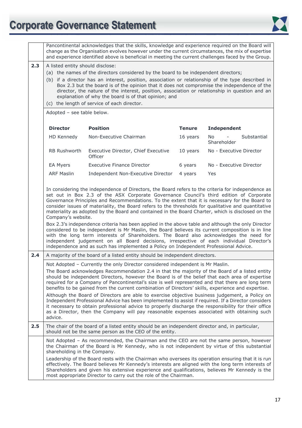

|     | Pancontinental acknowledges that the skills, knowledge and experience required on the Board will<br>change as the Organisation evolves however under the current circumstances, the mix of expertise<br>and experience identified above is beneficial in meeting the current challenges faced by the Group.                                                                                                                                                                                                                                                                                                                                                                                                                                                                                                    |                                                                                                                                                                                                                                                                                                                                                                                                                                                                                                                                                                                                                                                                                                                                                                                                                                                                                                |               |                                   |
|-----|----------------------------------------------------------------------------------------------------------------------------------------------------------------------------------------------------------------------------------------------------------------------------------------------------------------------------------------------------------------------------------------------------------------------------------------------------------------------------------------------------------------------------------------------------------------------------------------------------------------------------------------------------------------------------------------------------------------------------------------------------------------------------------------------------------------|------------------------------------------------------------------------------------------------------------------------------------------------------------------------------------------------------------------------------------------------------------------------------------------------------------------------------------------------------------------------------------------------------------------------------------------------------------------------------------------------------------------------------------------------------------------------------------------------------------------------------------------------------------------------------------------------------------------------------------------------------------------------------------------------------------------------------------------------------------------------------------------------|---------------|-----------------------------------|
| 2.3 | A listed entity should disclose:<br>(a) the names of the directors considered by the board to be independent directors;<br>(b) if a director has an interest, position, association or relationship of the type described in<br>Box 2.3 but the board is of the opinion that it does not compromise the independence of the<br>director, the nature of the interest, position, association or relationship in question and an<br>explanation of why the board is of that opinion; and<br>(c) the length of service of each director.                                                                                                                                                                                                                                                                           |                                                                                                                                                                                                                                                                                                                                                                                                                                                                                                                                                                                                                                                                                                                                                                                                                                                                                                |               |                                   |
|     | Adopted - see table below.                                                                                                                                                                                                                                                                                                                                                                                                                                                                                                                                                                                                                                                                                                                                                                                     |                                                                                                                                                                                                                                                                                                                                                                                                                                                                                                                                                                                                                                                                                                                                                                                                                                                                                                |               |                                   |
|     | <b>Director</b>                                                                                                                                                                                                                                                                                                                                                                                                                                                                                                                                                                                                                                                                                                                                                                                                | <b>Position</b>                                                                                                                                                                                                                                                                                                                                                                                                                                                                                                                                                                                                                                                                                                                                                                                                                                                                                | <b>Tenure</b> | <b>Independent</b>                |
|     | HD Kennedy                                                                                                                                                                                                                                                                                                                                                                                                                                                                                                                                                                                                                                                                                                                                                                                                     | Non-Executive Chairman                                                                                                                                                                                                                                                                                                                                                                                                                                                                                                                                                                                                                                                                                                                                                                                                                                                                         | 16 years      | Substantial<br>No.<br>Shareholder |
|     | <b>RB Rushworth</b>                                                                                                                                                                                                                                                                                                                                                                                                                                                                                                                                                                                                                                                                                                                                                                                            | Executive Director, Chief Executive<br>Officer                                                                                                                                                                                                                                                                                                                                                                                                                                                                                                                                                                                                                                                                                                                                                                                                                                                 | 10 years      | No - Executive Director           |
|     | EA Myers                                                                                                                                                                                                                                                                                                                                                                                                                                                                                                                                                                                                                                                                                                                                                                                                       | Executive Finance Director                                                                                                                                                                                                                                                                                                                                                                                                                                                                                                                                                                                                                                                                                                                                                                                                                                                                     | 6 years       | No - Executive Director           |
|     | <b>ARF Maslin</b>                                                                                                                                                                                                                                                                                                                                                                                                                                                                                                                                                                                                                                                                                                                                                                                              | Independent Non-Executive Director                                                                                                                                                                                                                                                                                                                                                                                                                                                                                                                                                                                                                                                                                                                                                                                                                                                             | 4 years       | Yes                               |
|     | Company's website.                                                                                                                                                                                                                                                                                                                                                                                                                                                                                                                                                                                                                                                                                                                                                                                             | set out in Box 2.3 of the ASX Corporate Governance Council's third edition of Corporate<br>Governance Principles and Recommendations. To the extent that it is necessary for the Board to<br>consider issues of materiality, the Board refers to the thresholds for qualitative and quantitative<br>materiality as adopted by the Board and contained in the Board Charter, which is disclosed on the<br>Box 2.3's independence criteria has been applied in the above table and although the only Director<br>considered to be independent is Mr Maslin, the Board believes its current composition is in line<br>with the long term interests of Shareholders. The Board also acknowledges the need for<br>independent judgement on all Board decisions, irrespective of each individual Director's<br>independence and as such has implemented a Policy on Independent Professional Advice. |               |                                   |
| 2.4 | A majority of the board of a listed entity should be independent directors.                                                                                                                                                                                                                                                                                                                                                                                                                                                                                                                                                                                                                                                                                                                                    |                                                                                                                                                                                                                                                                                                                                                                                                                                                                                                                                                                                                                                                                                                                                                                                                                                                                                                |               |                                   |
|     | Not Adopted - Currently the only Director considered independent is Mr Maslin.<br>The Board acknowledges Recommendation 2.4 in that the majority of the Board of a listed entity<br>should be independent Directors, however the Board is of the belief that each area of expertise<br>required for a Company of Pancontinental's size is well represented and that there are long term<br>benefits to be gained from the current combination of Directors' skills, experience and expertise.<br>Although the Board of Directors are able to exercise objective business judgement, a Policy on<br>Independent Professional Advice has been implemented to assist if required. If a Director considers<br>it necessary to obtain professional advice to properly discharge the responsibility for their office |                                                                                                                                                                                                                                                                                                                                                                                                                                                                                                                                                                                                                                                                                                                                                                                                                                                                                                |               |                                   |
|     | advice.                                                                                                                                                                                                                                                                                                                                                                                                                                                                                                                                                                                                                                                                                                                                                                                                        | as a Director, then the Company will pay reasonable expenses associated with obtaining such                                                                                                                                                                                                                                                                                                                                                                                                                                                                                                                                                                                                                                                                                                                                                                                                    |               |                                   |
| 2.5 | The chair of the board of a listed entity should be an independent director and, in particular,<br>should not be the same person as the CEO of the entity.                                                                                                                                                                                                                                                                                                                                                                                                                                                                                                                                                                                                                                                     |                                                                                                                                                                                                                                                                                                                                                                                                                                                                                                                                                                                                                                                                                                                                                                                                                                                                                                |               |                                   |
|     | shareholding in the Company.                                                                                                                                                                                                                                                                                                                                                                                                                                                                                                                                                                                                                                                                                                                                                                                   | Not Adopted - As recommended, the Chairman and the CEO are not the same person, however<br>the Chairman of the Board is Mr Kennedy, who is not independent by virtue of this substantial                                                                                                                                                                                                                                                                                                                                                                                                                                                                                                                                                                                                                                                                                                       |               |                                   |
|     |                                                                                                                                                                                                                                                                                                                                                                                                                                                                                                                                                                                                                                                                                                                                                                                                                | Leadership of the Board rests with the Chairman who oversees its operation ensuring that it is run<br>effectively. The Board believes Mr Kennedy's interests are aligned with the long term interests of<br>Shareholders and given his extensive experience and qualifications, believes Mr Kennedy is the<br>most appropriate Director to carry out the role of the Chairman.                                                                                                                                                                                                                                                                                                                                                                                                                                                                                                                 |               |                                   |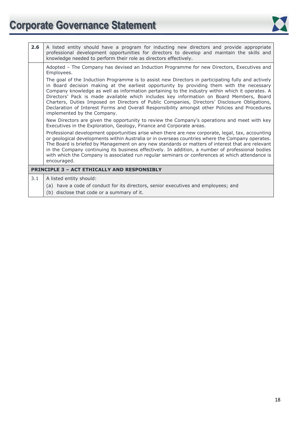## **Corporate Governance Statement**



| 2.6 | A listed entity should have a program for inducting new directors and provide appropriate<br>professional development opportunities for directors to develop and maintain the skills and<br>knowledge needed to perform their role as directors effectively.                                                                                                                                                                                                                                                                                                                                                                                                                                                                                 |
|-----|----------------------------------------------------------------------------------------------------------------------------------------------------------------------------------------------------------------------------------------------------------------------------------------------------------------------------------------------------------------------------------------------------------------------------------------------------------------------------------------------------------------------------------------------------------------------------------------------------------------------------------------------------------------------------------------------------------------------------------------------|
|     | Adopted - The Company has devised an Induction Programme for new Directors, Executives and<br>Employees.<br>The goal of the Induction Programme is to assist new Directors in participating fully and actively<br>in Board decision making at the earliest opportunity by providing them with the necessary<br>Company knowledge as well as information pertaining to the industry within which it operates. A<br>Directors' Pack is made available which includes key information on Board Members, Board<br>Charters, Duties Imposed on Directors of Public Companies, Directors' Disclosure Obligations,<br>Declaration of Interest Forms and Overall Responsibility amongst other Policies and Procedures<br>implemented by the Company. |
|     | New Directors are given the opportunity to review the Company's operations and meet with key<br>Executives in the Exploration, Geology, Finance and Corporate areas.                                                                                                                                                                                                                                                                                                                                                                                                                                                                                                                                                                         |
|     | Professional development opportunities arise when there are new corporate, legal, tax, accounting<br>or geological developments within Australia or in overseas countries where the Company operates.<br>The Board is briefed by Management on any new standards or matters of interest that are relevant<br>in the Company continuing its business effectively. In addition, a number of professional bodies<br>with which the Company is associated run regular seminars or conferences at which attendance is<br>encouraged.                                                                                                                                                                                                              |
|     | <b>PRINCIPLE 3 - ACT ETHICALLY AND RESPONSIBLY</b>                                                                                                                                                                                                                                                                                                                                                                                                                                                                                                                                                                                                                                                                                           |
| 3.1 | A listed entity should:<br>(a) have a code of conduct for its directors, senior executives and employees; and<br>(b) disclose that code or a summary of it.                                                                                                                                                                                                                                                                                                                                                                                                                                                                                                                                                                                  |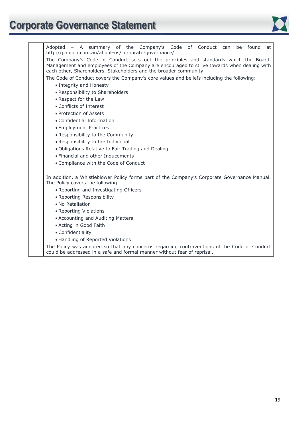

 Adopted – A summary of the Company's Code of Conduct can be found at http://pancon.com.au/about-us/corporate-governance/ The Company's Code of Conduct sets out the principles and standards which the Board, Management and employees of the Company are encouraged to strive towards when dealing with each other, Shareholders, Stakeholders and the broader community. The Code of Conduct covers the Company's core values and beliefs including the following: • Integrity and Honesty • Responsibility to Shareholders • Respect for the Law • Conflicts of Interest • Protection of Assets • Confidential Information • Employment Practices • Responsibility to the Community • Responsibility to the Individual • Obligations Relative to Fair Trading and Dealing • Financial and other Inducements • Compliance with the Code of Conduct In addition, a Whistleblower Policy forms part of the Company's Corporate Governance Manual. The Policy covers the following: • Reporting and Investigating Officers • Reporting Responsibility • No Retaliation • Reporting Violations • Accounting and Auditing Matters • Acting in Good Faith • Confidentiality • Handling of Reported Violations The Policy was adopted so that any concerns regarding contraventions of the Code of Conduct

could be addressed in a safe and formal manner without fear of reprisal.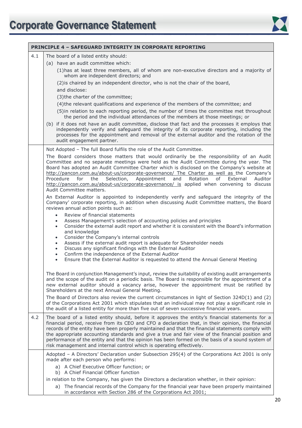

|     | <b>PRINCIPLE 4 - SAFEGUARD INTEGRITY IN CORPORATE REPORTING</b>                                                                                                                                                                                                                                                                                                                                                                                                                                                                                                                                                  |  |  |
|-----|------------------------------------------------------------------------------------------------------------------------------------------------------------------------------------------------------------------------------------------------------------------------------------------------------------------------------------------------------------------------------------------------------------------------------------------------------------------------------------------------------------------------------------------------------------------------------------------------------------------|--|--|
| 4.1 | The board of a listed entity should:                                                                                                                                                                                                                                                                                                                                                                                                                                                                                                                                                                             |  |  |
|     | (a) have an audit committee which:                                                                                                                                                                                                                                                                                                                                                                                                                                                                                                                                                                               |  |  |
|     | (1) has at least three members, all of whom are non-executive directors and a majority of<br>whom are independent directors; and                                                                                                                                                                                                                                                                                                                                                                                                                                                                                 |  |  |
|     | (2) is chaired by an independent director, who is not the chair of the board,                                                                                                                                                                                                                                                                                                                                                                                                                                                                                                                                    |  |  |
|     | and disclose:                                                                                                                                                                                                                                                                                                                                                                                                                                                                                                                                                                                                    |  |  |
|     | (3) the charter of the committee;                                                                                                                                                                                                                                                                                                                                                                                                                                                                                                                                                                                |  |  |
|     | (4) the relevant qualifications and experience of the members of the committee; and                                                                                                                                                                                                                                                                                                                                                                                                                                                                                                                              |  |  |
|     | (5) in relation to each reporting period, the number of times the committee met throughout<br>the period and the individual attendances of the members at those meetings; or                                                                                                                                                                                                                                                                                                                                                                                                                                     |  |  |
|     | (b) if it does not have an audit committee, disclose that fact and the processes it employs that<br>independently verify and safeguard the integrity of its corporate reporting, including the<br>processes for the appointment and removal of the external auditor and the rotation of the<br>audit engagement partner.                                                                                                                                                                                                                                                                                         |  |  |
|     | Not Adopted - The full Board fulfils the role of the Audit Committee.                                                                                                                                                                                                                                                                                                                                                                                                                                                                                                                                            |  |  |
|     | The Board considers those matters that would ordinarily be the responsibility of an Audit<br>Committee and no separate meetings were held as the Audit Committee during the year. The<br>Board has adopted an Audit Committee Charter which is disclosed on the Company's website at<br>http://pancon.com.au/about-us/corporate-governance/ The Charter as well as the Company's<br>Selection,<br>Appointment<br>Rotation<br>of<br>Procedure<br>for<br>the<br>and<br>External<br>Auditor<br>http://pancon.com.au/about-us/corporate-governance/ is applied when convening to discuss<br>Audit Committee matters. |  |  |
|     | An External Auditor is appointed to independently verify and safeguard the integrity of the<br>Company' corporate reporting, in addition when discussing Audit Committee matters, the Board<br>reviews annual action points such as:                                                                                                                                                                                                                                                                                                                                                                             |  |  |
|     | Review of financial statements<br>$\bullet$<br>Assess Management's selection of accounting policies and principles<br>$\bullet$<br>Consider the external audit report and whether it is consistent with the Board's information<br>$\bullet$<br>and knowledge                                                                                                                                                                                                                                                                                                                                                    |  |  |
|     | Consider the Company's internal controls<br>$\bullet$<br>Assess if the external audit report is adequate for Shareholder needs<br>$\bullet$                                                                                                                                                                                                                                                                                                                                                                                                                                                                      |  |  |
|     | Discuss any significant findings with the External Auditor<br>$\bullet$                                                                                                                                                                                                                                                                                                                                                                                                                                                                                                                                          |  |  |
|     | Confirm the independence of the External Auditor<br>$\bullet$                                                                                                                                                                                                                                                                                                                                                                                                                                                                                                                                                    |  |  |
|     | Ensure that the External Auditor is requested to attend the Annual General Meeting<br>$\bullet$                                                                                                                                                                                                                                                                                                                                                                                                                                                                                                                  |  |  |
|     | The Board in conjunction Management's input, review the suitability of existing audit arrangements<br>and the scope of the audit on a periodic basis. The Board is responsible for the appointment of a<br>new external auditor should a vacancy arise, however the appointment must be ratified by<br>Shareholders at the next Annual General Meeting.                                                                                                                                                                                                                                                          |  |  |
|     | The Board of Directors also review the current circumstances in light of Section 324D(1) and (2)<br>of the Corporations Act 2001 which stipulates that an individual may not play a significant role in<br>the audit of a listed entity for more than five out of seven successive financial years.                                                                                                                                                                                                                                                                                                              |  |  |
| 4.2 | The board of a listed entity should, before it approves the entity's financial statements for a<br>financial period, receive from its CEO and CFO a declaration that, in their opinion, the financial<br>records of the entity have been properly maintained and that the financial statements comply with<br>the appropriate accounting standards and give a true and fair view of the financial position and<br>performance of the entity and that the opinion has been formed on the basis of a sound system of<br>risk management and internal control which is operating effectively.                       |  |  |
|     | Adopted - A Directors' Declaration under Subsection 295(4) of the Corporations Act 2001 is only<br>made after each person who performs:                                                                                                                                                                                                                                                                                                                                                                                                                                                                          |  |  |
|     | a) A Chief Executive Officer function; or<br>b) A Chief Financial Officer function                                                                                                                                                                                                                                                                                                                                                                                                                                                                                                                               |  |  |
|     | in relation to the Company, has given the Directors a declaration whether, in their opinion:                                                                                                                                                                                                                                                                                                                                                                                                                                                                                                                     |  |  |
|     | a) The financial records of the Company for the financial year have been properly maintained<br>in accordance with Section 286 of the Corporations Act 2001;                                                                                                                                                                                                                                                                                                                                                                                                                                                     |  |  |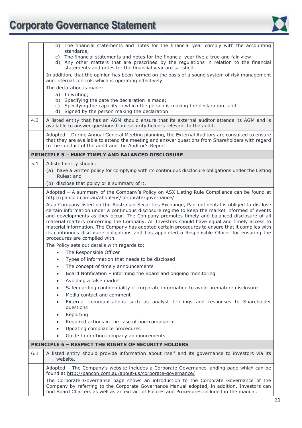

|     | The financial statements and notes for the financial year comply with the accounting<br>b)<br>standards;<br>c) The financial statements and notes for the financial year five a true and fair view;<br>d) Any other matters that are prescribed by the regulations in relation to the financial<br>statements and notes for the financial year are satisfied.<br>In addition, that the opinion has been formed on the basis of a sound system of risk management<br>and internal controls which is operating effectively.<br>The declaration is made:                                                                                    |  |
|-----|------------------------------------------------------------------------------------------------------------------------------------------------------------------------------------------------------------------------------------------------------------------------------------------------------------------------------------------------------------------------------------------------------------------------------------------------------------------------------------------------------------------------------------------------------------------------------------------------------------------------------------------|--|
|     | a) In writing;<br>b) Specifying the date the declaration is made;<br>c) Specifying the capacity in which the person is making the declaration; and<br>d) Signed by the person making the declaration.                                                                                                                                                                                                                                                                                                                                                                                                                                    |  |
| 4.3 | A listed entity that has an AGM should ensure that its external auditor attends its AGM and is<br>available to answer questions from security holders relevant to the audit.                                                                                                                                                                                                                                                                                                                                                                                                                                                             |  |
|     | Adopted - During Annual General Meeting planning, the External Auditors are consulted to ensure<br>that they are available to attend the meeting and answer questions from Shareholders with regard<br>to the conduct of the audit and the Auditor's Report.                                                                                                                                                                                                                                                                                                                                                                             |  |
|     | <b>PRINCIPLE 5 - MAKE TIMELY AND BALANCED DISCLOSURE</b>                                                                                                                                                                                                                                                                                                                                                                                                                                                                                                                                                                                 |  |
| 5.1 | A listed entity should:<br>(a) have a written policy for complying with its continuous disclosure obligations under the Listing<br>Rules; and                                                                                                                                                                                                                                                                                                                                                                                                                                                                                            |  |
|     | (b) disclose that policy or a summary of it.                                                                                                                                                                                                                                                                                                                                                                                                                                                                                                                                                                                             |  |
|     | Adopted - A summary of the Company's Policy on ASX Listing Rule Compliance can be found at<br>http://pancon.com.au/about-us/corporate-governance/                                                                                                                                                                                                                                                                                                                                                                                                                                                                                        |  |
|     | As a Company listed on the Australian Securities Exchange, Pancontinental is obliged to disclose<br>certain information under a continuous disclosure regime to keep the market informed of events<br>and developments as they occur. The Company promotes timely and balanced disclosure of all<br>material matters concerning the Company. All Investors should have equal and timely access to<br>material information. The Company has adopted certain procedures to ensure that it complies with<br>its continuous disclosure obligations and has appointed a Responsible Officer for ensuring the<br>procedures are complied with. |  |
|     | The Policy sets out details with regards to:                                                                                                                                                                                                                                                                                                                                                                                                                                                                                                                                                                                             |  |
|     | The Responsible Officer                                                                                                                                                                                                                                                                                                                                                                                                                                                                                                                                                                                                                  |  |
|     | Types of information that needs to be disclosed<br>$\bullet$<br>The concept of timely announcements<br>$\bullet$                                                                                                                                                                                                                                                                                                                                                                                                                                                                                                                         |  |
|     | Board Notification - informing the Board and ongoing monitoring                                                                                                                                                                                                                                                                                                                                                                                                                                                                                                                                                                          |  |
|     | Avoiding a false market                                                                                                                                                                                                                                                                                                                                                                                                                                                                                                                                                                                                                  |  |
|     | Safeguarding confidentiality of corporate information to avoid premature disclosure<br>$\bullet$                                                                                                                                                                                                                                                                                                                                                                                                                                                                                                                                         |  |
|     | Media contact and comment                                                                                                                                                                                                                                                                                                                                                                                                                                                                                                                                                                                                                |  |
|     | External communications such as analyst briefings and responses to Shareholder<br>$\bullet$<br>questions                                                                                                                                                                                                                                                                                                                                                                                                                                                                                                                                 |  |
|     | Reporting<br>$\bullet$                                                                                                                                                                                                                                                                                                                                                                                                                                                                                                                                                                                                                   |  |
|     | Required actions in the case of non-compliance<br>$\bullet$                                                                                                                                                                                                                                                                                                                                                                                                                                                                                                                                                                              |  |
|     | Updating compliance procedures<br>$\bullet$<br>Guide to drafting company announcements<br>$\bullet$                                                                                                                                                                                                                                                                                                                                                                                                                                                                                                                                      |  |
|     | <b>PRINCIPLE 6 - RESPECT THE RIGHTS OF SECURITY HOLDERS</b>                                                                                                                                                                                                                                                                                                                                                                                                                                                                                                                                                                              |  |
| 6.1 | A listed entity should provide information about itself and its governance to investors via its<br>website.                                                                                                                                                                                                                                                                                                                                                                                                                                                                                                                              |  |
|     | Adopted - The Company's website includes a Corporate Governance landing page which can be<br>found at http://pancon.com.au/about-us/corporate-governance/                                                                                                                                                                                                                                                                                                                                                                                                                                                                                |  |
|     | The Corporate Governance page shows an introduction to the Corporate Governance of the<br>Company by referring to the Corporate Governance Manual adopted, in addition, Investors can<br>find Board Charters as well as an extract of Policies and Procedures included in the manual.                                                                                                                                                                                                                                                                                                                                                    |  |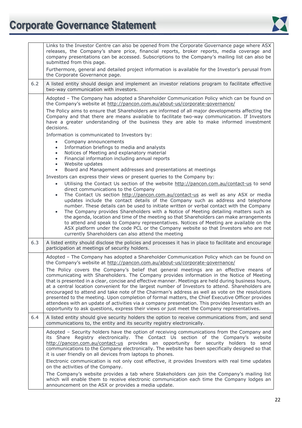

|     | Links to the Investor Centre can also be opened from the Corporate Governance page where ASX<br>releases, the Company's share price, financial reports, broker reports, media coverage and                                                                                                                                                                                                                                                                                                                                                                                                                                                                                                                                                                                                                                                                                                                                                                                                  |  |  |
|-----|---------------------------------------------------------------------------------------------------------------------------------------------------------------------------------------------------------------------------------------------------------------------------------------------------------------------------------------------------------------------------------------------------------------------------------------------------------------------------------------------------------------------------------------------------------------------------------------------------------------------------------------------------------------------------------------------------------------------------------------------------------------------------------------------------------------------------------------------------------------------------------------------------------------------------------------------------------------------------------------------|--|--|
|     | company presentations can be accessed. Subscriptions to the Company's mailing list can also be<br>submitted from this page.                                                                                                                                                                                                                                                                                                                                                                                                                                                                                                                                                                                                                                                                                                                                                                                                                                                                 |  |  |
|     | Furthermore, general and detailed project information is available for the Investor's perusal from<br>the Corporate Governance page.                                                                                                                                                                                                                                                                                                                                                                                                                                                                                                                                                                                                                                                                                                                                                                                                                                                        |  |  |
| 6.2 | A listed entity should design and implement an investor relations program to facilitate effective<br>two-way communication with investors.                                                                                                                                                                                                                                                                                                                                                                                                                                                                                                                                                                                                                                                                                                                                                                                                                                                  |  |  |
|     | Adopted - The Company has adopted a Shareholder Communication Policy which can be found on<br>the Company's website at http://pancon.com.au/about-us/corporate-governance/                                                                                                                                                                                                                                                                                                                                                                                                                                                                                                                                                                                                                                                                                                                                                                                                                  |  |  |
|     | The Policy aims to ensure that Shareholders are informed of all major developments affecting the<br>Company and that there are means available to facilitate two-way communication. If Investors<br>have a greater understanding of the business they are able to make informed investment<br>decisions.                                                                                                                                                                                                                                                                                                                                                                                                                                                                                                                                                                                                                                                                                    |  |  |
|     | Information is communicated to Investors by:                                                                                                                                                                                                                                                                                                                                                                                                                                                                                                                                                                                                                                                                                                                                                                                                                                                                                                                                                |  |  |
|     | Company announcements<br>$\bullet$<br>Information briefings to media and analysts<br>$\bullet$<br>Notices of Meeting and explanatory material<br>$\bullet$<br>Financial information including annual reports<br>$\bullet$<br>Website updates<br>$\bullet$                                                                                                                                                                                                                                                                                                                                                                                                                                                                                                                                                                                                                                                                                                                                   |  |  |
|     | Board and Management addresses and presentations at meetings<br>$\bullet$                                                                                                                                                                                                                                                                                                                                                                                                                                                                                                                                                                                                                                                                                                                                                                                                                                                                                                                   |  |  |
|     | Investors can express their views or present queries to the Company by:                                                                                                                                                                                                                                                                                                                                                                                                                                                                                                                                                                                                                                                                                                                                                                                                                                                                                                                     |  |  |
|     | Utilising the Contact Us section of the website http://pancon.com.au/contact-us to send<br>$\bullet$                                                                                                                                                                                                                                                                                                                                                                                                                                                                                                                                                                                                                                                                                                                                                                                                                                                                                        |  |  |
|     | direct communications to the Company<br>The Contact Us section http://pancon.com.au/contact-us as well as any ASX or media<br>$\bullet$<br>updates include the contact details of the Company such as address and telephone<br>number. These details can be used to initiate written or verbal contact with the Company<br>The Company provides Shareholders with a Notice of Meeting detailing matters such as<br>$\bullet$<br>the agenda, location and time of the meeting so that Shareholders can make arrangements<br>to attend and speak to Company representatives. Notices of Meeting are available on the<br>ASX platform under the code PCL or the Company website so that Investors who are not<br>currently Shareholders can also attend the meeting                                                                                                                                                                                                                            |  |  |
| 6.3 | A listed entity should disclose the policies and processes it has in place to facilitate and encourage<br>participation at meetings of security holders.                                                                                                                                                                                                                                                                                                                                                                                                                                                                                                                                                                                                                                                                                                                                                                                                                                    |  |  |
|     | Adopted - The Company has adopted a Shareholder Communication Policy which can be found on<br>the Company's website at http://pancon.com.au/about-us/corporate-governance/<br>The Policy covers the Company's belief that general meetings are an effective means of<br>communicating with Shareholders. The Company provides information in the Notice of Meeting<br>that is presented in a clear, concise and effective manner. Meetings are held during business hours,<br>at a central location convenient for the largest number of Investors to attend. Shareholders are<br>encouraged to attend and take note of the Chairman's address as well as vote on the resolutions<br>presented to the meeting. Upon completion of formal matters, the Chief Executive Officer provides<br>attendees with an update of activities via a company presentation. This provides Investors with an<br>opportunity to ask questions, express their views or just meet the Company representatives. |  |  |
| 6.4 | A listed entity should give security holders the option to receive communications from, and send<br>communications to, the entity and its security registry electronically.                                                                                                                                                                                                                                                                                                                                                                                                                                                                                                                                                                                                                                                                                                                                                                                                                 |  |  |
|     | Adopted - Security holders have the option of receiving communications from the Company and<br>its Share Registry electronically. The Contact Us section of the Company's website<br>http://pancon.com.au/contact-us provides an opportunity for security holders to send<br>communications to the Company electronically. The website has been specifically designed so that<br>it is user friendly on all devices from laptops to phones.                                                                                                                                                                                                                                                                                                                                                                                                                                                                                                                                                 |  |  |
|     | Electronic communication is not only cost effective, it provides Investors with real time updates<br>on the activities of the Company.                                                                                                                                                                                                                                                                                                                                                                                                                                                                                                                                                                                                                                                                                                                                                                                                                                                      |  |  |
|     | The Company's website provides a tab where Stakeholders can join the Company's mailing list<br>which will enable them to receive electronic communication each time the Company lodges an<br>announcement on the ASX or provides a media update.                                                                                                                                                                                                                                                                                                                                                                                                                                                                                                                                                                                                                                                                                                                                            |  |  |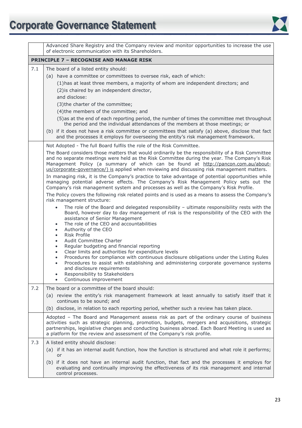

|     | Advanced Share Registry and the Company review and monitor opportunities to increase the use<br>of electronic communication with its Shareholders.                                                                                                                                                                                                                                                                                                                        |  |  |
|-----|---------------------------------------------------------------------------------------------------------------------------------------------------------------------------------------------------------------------------------------------------------------------------------------------------------------------------------------------------------------------------------------------------------------------------------------------------------------------------|--|--|
|     | <b>PRINCIPLE 7 - RECOGNISE AND MANAGE RISK</b>                                                                                                                                                                                                                                                                                                                                                                                                                            |  |  |
| 7.1 | The board of a listed entity should:                                                                                                                                                                                                                                                                                                                                                                                                                                      |  |  |
|     | (a) have a committee or committees to oversee risk, each of which:                                                                                                                                                                                                                                                                                                                                                                                                        |  |  |
|     | (1) has at least three members, a majority of whom are independent directors; and                                                                                                                                                                                                                                                                                                                                                                                         |  |  |
|     | (2) is chaired by an independent director,                                                                                                                                                                                                                                                                                                                                                                                                                                |  |  |
|     | and disclose:                                                                                                                                                                                                                                                                                                                                                                                                                                                             |  |  |
|     | (3) the charter of the committee;                                                                                                                                                                                                                                                                                                                                                                                                                                         |  |  |
|     | (4) the members of the committee; and                                                                                                                                                                                                                                                                                                                                                                                                                                     |  |  |
|     | (5) as at the end of each reporting period, the number of times the committee met throughout<br>the period and the individual attendances of the members at those meetings; or                                                                                                                                                                                                                                                                                            |  |  |
|     | (b) if it does not have a risk committee or committees that satisfy (a) above, disclose that fact<br>and the processes it employs for overseeing the entity's risk management framework.                                                                                                                                                                                                                                                                                  |  |  |
|     | Not Adopted - The full Board fulfils the role of the Risk Committee.                                                                                                                                                                                                                                                                                                                                                                                                      |  |  |
|     | The Board considers those matters that would ordinarily be the responsibility of a Risk Committee<br>and no separate meetings were held as the Risk Committee during the year. The Company's Risk<br>Management Policy (a summary of which can be found at http://pancon.com.au/about-<br>us/corporate-governance/) is applied when reviewing and discussing risk management matters.                                                                                     |  |  |
|     | In managing risk, it is the Company's practice to take advantage of potential opportunities while<br>managing potential adverse effects. The Company's Risk Management Policy sets out the<br>Company's risk management system and processes as well as the Company's Risk Profile.                                                                                                                                                                                       |  |  |
|     | The Policy covers the following risk related points and is used as a means to assess the Company's<br>risk management structure:                                                                                                                                                                                                                                                                                                                                          |  |  |
|     | The role of the Board and delegated responsibility $-$ ultimate responsibility rests with the<br>Board, however day to day management of risk is the responsibility of the CEO with the<br>assistance of Senior Management<br>The role of the CEO and accountabilities<br>٠<br>Authority of the CEO<br>$\bullet$<br>Risk Profile                                                                                                                                          |  |  |
|     | $\bullet$<br>Audit Committee Charter<br>$\bullet$<br>Regular budgeting and financial reporting<br>٠<br>Clear limits and authorities for expenditure levels<br>٠<br>Procedures for compliance with continuous disclosure obligations under the Listing Rules<br>$\bullet$<br>Procedures to assist with establishing and administering corporate governance systems<br>$\bullet$<br>and disclosure requirements<br>Responsibility to Stakeholders<br>Continuous improvement |  |  |
| 7.2 | The board or a committee of the board should:                                                                                                                                                                                                                                                                                                                                                                                                                             |  |  |
|     | (a) review the entity's risk management framework at least annually to satisfy itself that it<br>continues to be sound; and                                                                                                                                                                                                                                                                                                                                               |  |  |
|     | (b) disclose, in relation to each reporting period, whether such a review has taken place.                                                                                                                                                                                                                                                                                                                                                                                |  |  |
|     | Adopted - The Board and Management assess risk as part of the ordinary course of business                                                                                                                                                                                                                                                                                                                                                                                 |  |  |
|     | activities such as strategic planning, promotion, budgets, mergers and acquisitions, strategic<br>partnerships, legislative changes and conducting business abroad. Each Board Meeting is used as<br>a platform for the review and assessment of the Company's risk profile.                                                                                                                                                                                              |  |  |
| 7.3 | A listed entity should disclose:                                                                                                                                                                                                                                                                                                                                                                                                                                          |  |  |
|     | (a) if it has an internal audit function, how the function is structured and what role it performs;<br>or                                                                                                                                                                                                                                                                                                                                                                 |  |  |
|     | (b) if it does not have an internal audit function, that fact and the processes it employs for<br>evaluating and continually improving the effectiveness of its risk management and internal<br>control processes.                                                                                                                                                                                                                                                        |  |  |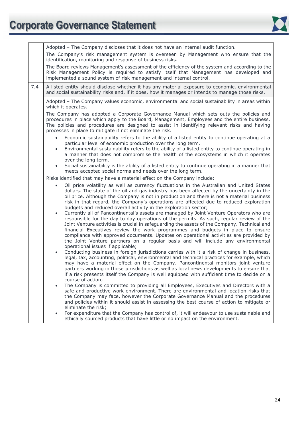# **Corporate Governance Statement**



|     | Adopted - The Company discloses that it does not have an internal audit function.<br>The Company's risk management system is overseen by Management who ensure that the<br>identification, monitoring and response of business risks.                                                                                                                                                                                                                                                                                                                                                                                                                                                                                                                |
|-----|------------------------------------------------------------------------------------------------------------------------------------------------------------------------------------------------------------------------------------------------------------------------------------------------------------------------------------------------------------------------------------------------------------------------------------------------------------------------------------------------------------------------------------------------------------------------------------------------------------------------------------------------------------------------------------------------------------------------------------------------------|
|     | The Board reviews Management's assessment of the efficiency of the system and according to the<br>Risk Management Policy is required to satisfy itself that Management has developed and<br>implemented a sound system of risk management and internal control.                                                                                                                                                                                                                                                                                                                                                                                                                                                                                      |
| 7.4 | A listed entity should disclose whether it has any material exposure to economic, environmental<br>and social sustainability risks and, if it does, how it manages or intends to manage those risks.                                                                                                                                                                                                                                                                                                                                                                                                                                                                                                                                                 |
|     | Adopted - The Company values economic, environmental and social sustainability in areas within<br>which it operates.                                                                                                                                                                                                                                                                                                                                                                                                                                                                                                                                                                                                                                 |
|     | The Company has adopted a Corporate Governance Manual which sets outs the policies and<br>procedures in place which apply to the Board, Management, Employees and the entire business.<br>The policies and procedures are designed to assist in identifying relevant risks and having<br>processes in place to mitigate if not eliminate the risk.                                                                                                                                                                                                                                                                                                                                                                                                   |
|     | Economic sustainability refers to the ability of a listed entity to continue operating at a<br>$\bullet$<br>particular level of economic production over the long term.<br>Environmental sustainability refers to the ability of a listed entity to continue operating in<br>$\bullet$<br>a manner that does not compromise the health of the ecosystems in which it operates                                                                                                                                                                                                                                                                                                                                                                        |
|     | over the long term.<br>Social sustainability is the ability of a listed entity to continue operating in a manner that<br>$\bullet$<br>meets accepted social norms and needs over the long term.                                                                                                                                                                                                                                                                                                                                                                                                                                                                                                                                                      |
|     | Risks identified that may have a material effect on the Company include:                                                                                                                                                                                                                                                                                                                                                                                                                                                                                                                                                                                                                                                                             |
|     | Oil price volatility as well as currency fluctuations in the Australian and United States<br>dollars. The state of the oil and gas industry has been affected by the uncertainty in the<br>oil price. Although the Company is not in production and there is not a material business<br>risk in that regard, the Company's operations are affected due to reduced exploration<br>budgets and reduced overall activity in the exploration sector;<br>Currently all of Pancontinental's assets are managed by Joint Venture Operators who are<br>$\bullet$<br>responsible for the day to day operations of the permits. As such, regular review of the<br>Joint Venture activities is crucial in safeguarding the assets of the Company. Technical and |
|     | financial Executives review the work programmes and budgets in place to ensure<br>compliance with approved documents. Updates on operational activities are provided by<br>the Joint Venture partners on a regular basis and will include any environmental<br>operational issues if applicable;                                                                                                                                                                                                                                                                                                                                                                                                                                                     |
|     | Conducting business in foreign jurisdictions carries with it a risk of change in business,<br>legal, tax, accounting, political, environmental and technical practices for example, which<br>may have a material effect on the Company. Pancontinental monitors joint venture<br>partners working in those jurisdictions as well as local news developments to ensure that<br>if a risk presents itself the Company is well equipped with sufficient time to decide on a<br>course of action;                                                                                                                                                                                                                                                        |
|     | The Company is committed to providing all Employees, Executives and Directors with a<br>$\bullet$<br>safe and productive work environment. There are environmental and location risks that<br>the Company may face, however the Corporate Governance Manual and the procedures<br>and policies within it should assist in assessing the best course of action to mitigate or<br>eliminate the risk;                                                                                                                                                                                                                                                                                                                                                  |
|     | For expenditure that the Company has control of, it will endeavour to use sustainable and<br>ethically sourced products that have little or no impact on the environment.                                                                                                                                                                                                                                                                                                                                                                                                                                                                                                                                                                            |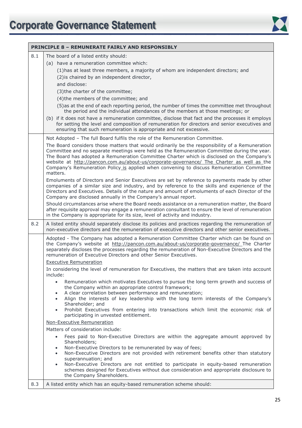

|     | <b>PRINCIPLE 8 - REMUNERATE FAIRLY AND RESPONSIBLY</b>                                                                                                                                                                                                                                                                                                                                                                                                                                                                                                                                                                                                                                                                                                                                                                                                                                                                                                                                                                                                                                                                                                                                                                                                                                                                                                                                                                                                                                                                                                                                                                              |  |
|-----|-------------------------------------------------------------------------------------------------------------------------------------------------------------------------------------------------------------------------------------------------------------------------------------------------------------------------------------------------------------------------------------------------------------------------------------------------------------------------------------------------------------------------------------------------------------------------------------------------------------------------------------------------------------------------------------------------------------------------------------------------------------------------------------------------------------------------------------------------------------------------------------------------------------------------------------------------------------------------------------------------------------------------------------------------------------------------------------------------------------------------------------------------------------------------------------------------------------------------------------------------------------------------------------------------------------------------------------------------------------------------------------------------------------------------------------------------------------------------------------------------------------------------------------------------------------------------------------------------------------------------------------|--|
| 8.1 | The board of a listed entity should:<br>(a) have a remuneration committee which:<br>(1) has at least three members, a majority of whom are independent directors; and<br>(2) is chaired by an independent director,<br>and disclose:<br>(3) the charter of the committee;                                                                                                                                                                                                                                                                                                                                                                                                                                                                                                                                                                                                                                                                                                                                                                                                                                                                                                                                                                                                                                                                                                                                                                                                                                                                                                                                                           |  |
|     | (4) the members of the committee; and<br>(5) as at the end of each reporting period, the number of times the committee met throughout<br>the period and the individual attendances of the members at those meetings; or<br>(b) if it does not have a remuneration committee, disclose that fact and the processes it employs<br>for setting the level and composition of remuneration for directors and senior executives and<br>ensuring that such remuneration is appropriate and not excessive.                                                                                                                                                                                                                                                                                                                                                                                                                                                                                                                                                                                                                                                                                                                                                                                                                                                                                                                                                                                                                                                                                                                                  |  |
|     | Not Adopted - The full Board fulfils the role of the Remuneration Committee.<br>The Board considers those matters that would ordinarily be the responsibility of a Remuneration<br>Committee and no separate meetings were held as the Remuneration Committee during the year.<br>The Board has adopted a Remuneration Committee Charter which is disclosed on the Company's<br>website at http://pancon.com.au/about-us/corporate-governance/ The Charter as well as the<br>Company's Remuneration Policy is applied when convening to discuss Remuneration Committee<br>matters.<br>Emoluments of Directors and Senior Executives are set by reference to payments made by other<br>companies of a similar size and industry, and by reference to the skills and experience of the<br>Directors and Executives. Details of the nature and amount of emoluments of each Director of the<br>Company are disclosed annually in the Company's annual report.<br>Should circumstances arise where the Board needs assistance on a remuneration matter, the Board                                                                                                                                                                                                                                                                                                                                                                                                                                                                                                                                                                       |  |
|     | after requisite approval may engage a remuneration consultant to ensure the level of remuneration<br>in the Company is appropriate for its size, level of activity and industry.                                                                                                                                                                                                                                                                                                                                                                                                                                                                                                                                                                                                                                                                                                                                                                                                                                                                                                                                                                                                                                                                                                                                                                                                                                                                                                                                                                                                                                                    |  |
| 8.2 | A listed entity should separately disclose its policies and practices regarding the remuneration of<br>non-executive directors and the remuneration of executive directors and other senior executives.                                                                                                                                                                                                                                                                                                                                                                                                                                                                                                                                                                                                                                                                                                                                                                                                                                                                                                                                                                                                                                                                                                                                                                                                                                                                                                                                                                                                                             |  |
| 8.3 | Adopted - The Company has adopted a Remuneration Committee Charter which can be found on<br>the Company's website at http://pancon.com.au/about-us/corporate-governance/ The Charter<br>separately discloses the processes regarding the remuneration of Non-Executive Directors and the<br>remuneration of Executive Directors and other Senior Executives.<br><b>Executive Remuneration</b><br>In considering the level of remuneration for Executives, the matters that are taken into account<br>include:<br>Remuneration which motivates Executives to pursue the long term growth and success of<br>$\bullet$<br>the Company within an appropriate control framework;<br>A clear correlation between performance and remuneration;<br>$\bullet$<br>Align the interests of key leadership with the long term interests of the Company's<br>$\bullet$<br>Shareholder; and<br>Prohibit Executives from entering into transactions which limit the economic risk of<br>participating in unvested entitlement.<br><b>Non-Executive Remuneration</b><br>Matters of consideration include:<br>Fees paid to Non-Executive Directors are within the aggregate amount approved by<br>$\bullet$<br>Shareholders;<br>Non-Executive Directors to be remunerated by way of fees;<br>$\bullet$<br>Non-Executive Directors are not provided with retirement benefits other than statutory<br>$\bullet$<br>superannuation; and<br>Non-Executive Directors are not entitled to participate in equity-based remuneration<br>schemes designed for Executives without due consideration and appropriate disclosure to<br>the Company Shareholders. |  |
|     | A listed entity which has an equity-based remuneration scheme should:                                                                                                                                                                                                                                                                                                                                                                                                                                                                                                                                                                                                                                                                                                                                                                                                                                                                                                                                                                                                                                                                                                                                                                                                                                                                                                                                                                                                                                                                                                                                                               |  |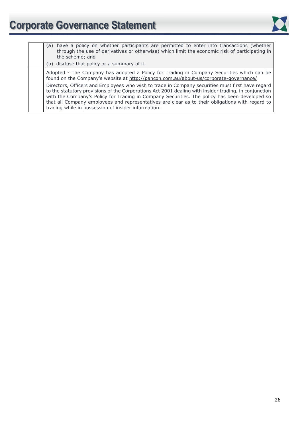

| (a) have a policy on whether participants are permitted to enter into transactions (whether<br>through the use of derivatives or otherwise) which limit the economic risk of participating in<br>the scheme; and<br>(b) disclose that policy or a summary of it.                                                                                                                                                                                                                                                                                                                                                                                           |
|------------------------------------------------------------------------------------------------------------------------------------------------------------------------------------------------------------------------------------------------------------------------------------------------------------------------------------------------------------------------------------------------------------------------------------------------------------------------------------------------------------------------------------------------------------------------------------------------------------------------------------------------------------|
| Adopted - The Company has adopted a Policy for Trading in Company Securities which can be<br>found on the Company's website at http://pancon.com.au/about-us/corporate-governance/<br>Directors, Officers and Employees who wish to trade in Company securities must first have regard<br>to the statutory provisions of the Corporations Act 2001 dealing with insider trading, in conjunction<br>with the Company's Policy for Trading in Company Securities. The policy has been developed so<br>that all Company employees and representatives are clear as to their obligations with regard to<br>trading while in possession of insider information. |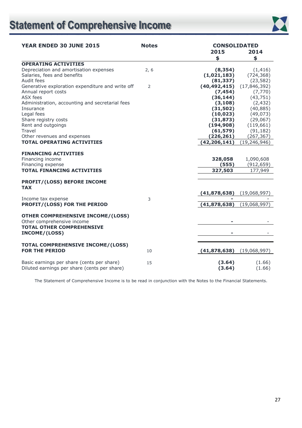# **Statement of Comprehensive Income**



| <b>YEAR ENDED 30 JUNE 2015</b>                                                             | <b>Notes</b> | <b>CONSOLIDATED</b> |                  |
|--------------------------------------------------------------------------------------------|--------------|---------------------|------------------|
|                                                                                            |              | 2015<br>\$          | 2014<br>\$       |
| <b>OPERATING ACTIVITIES</b>                                                                |              |                     |                  |
| Depreciation and amortisation expenses                                                     | 2, 6         | (8, 354)            | (1, 416)         |
| Salaries, fees and benefits                                                                |              | (1,021,183)         | (724, 368)       |
| Audit fees                                                                                 |              | (81, 337)           | (23, 582)        |
| Generative exploration expenditure and write off                                           | 2            | (40, 492, 415)      | (17, 846, 392)   |
| Annual report costs                                                                        |              | (7, 454)            | (7, 770)         |
| ASX fees                                                                                   |              | (36, 144)           | (43, 751)        |
| Administration, accounting and secretarial fees                                            |              | (3, 108)            | (2, 432)         |
| Insurance                                                                                  |              | (31,502)            | (40, 885)        |
| Legal fees                                                                                 |              | (10, 023)           | (49, 073)        |
| Share registry costs                                                                       |              | (31, 873)           | (29,067)         |
| Rent and outgoings                                                                         |              | (194, 908)          | (119, 661)       |
| Travel                                                                                     |              | (61, 579)           | (91, 182)        |
| Other revenues and expenses                                                                |              | (226, 261)          | (267, 367)       |
| <b>TOTAL OPERATING ACTIVITIES</b>                                                          |              | (42, 206, 141)      | (19, 246, 946)   |
| <b>FINANCING ACTIVITIES</b>                                                                |              |                     |                  |
| Financing income                                                                           |              | 328,058             | 1,090,608        |
| Financing expense                                                                          |              | (555)               | (912, 659)       |
| <b>TOTAL FINANCING ACTIVITIES</b>                                                          |              | 327,503             | 177,949          |
|                                                                                            |              |                     |                  |
| PROFIT/(LOSS) BEFORE INCOME<br><b>TAX</b>                                                  |              |                     |                  |
|                                                                                            |              | (41, 878, 638)      | (19,068,997)     |
| Income tax expense                                                                         | 3            |                     |                  |
| PROFIT/(LOSS) FOR THE PERIOD                                                               |              | (41,878,638)        | (19,068,997)     |
| <b>OTHER COMPREHENSIVE INCOME/(LOSS)</b><br>Other comprehensive income                     |              |                     |                  |
| <b>TOTAL OTHER COMPREHENSIVE</b><br>INCOME/(LOSS)                                          |              |                     |                  |
| TOTAL COMPREHENSIVE INCOME/(LOSS)<br><b>FOR THE PERIOD</b>                                 | 10           | (41,878,638)        | (19,068,997)     |
| Basic earnings per share (cents per share)<br>Diluted earnings per share (cents per share) | 15           | (3.64)<br>(3.64)    | (1.66)<br>(1.66) |

The Statement of Comprehensive Income is to be read in conjunction with the Notes to the Financial Statements.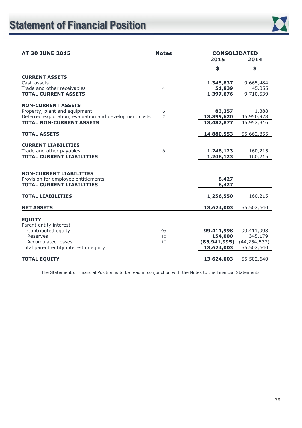

| <b>Notes</b><br><b>AT 30 JUNE 2015</b> |                                                                               | <b>CONSOLIDATED</b><br>2014                                                                                    |  |
|----------------------------------------|-------------------------------------------------------------------------------|----------------------------------------------------------------------------------------------------------------|--|
|                                        | \$                                                                            | \$                                                                                                             |  |
|                                        |                                                                               |                                                                                                                |  |
|                                        | 1,345,837                                                                     | 9,665,484                                                                                                      |  |
| $\overline{4}$                         |                                                                               | 45,055                                                                                                         |  |
|                                        |                                                                               | 9,710,539                                                                                                      |  |
|                                        |                                                                               |                                                                                                                |  |
| 6                                      | 83,257                                                                        | 1,388                                                                                                          |  |
| $\overline{7}$                         | 13,399,620                                                                    | 45,950,928                                                                                                     |  |
|                                        | 13,482,877                                                                    | 45,952,316                                                                                                     |  |
|                                        | 14,880,553                                                                    | 55,662,855                                                                                                     |  |
|                                        |                                                                               |                                                                                                                |  |
|                                        |                                                                               |                                                                                                                |  |
|                                        |                                                                               | 160,215<br>160,215                                                                                             |  |
|                                        |                                                                               |                                                                                                                |  |
|                                        |                                                                               |                                                                                                                |  |
|                                        | 8,427                                                                         |                                                                                                                |  |
|                                        | 8,427                                                                         |                                                                                                                |  |
|                                        | 1,256,550                                                                     | 160,215                                                                                                        |  |
|                                        | 13,624,003                                                                    | 55,502,640                                                                                                     |  |
|                                        |                                                                               |                                                                                                                |  |
|                                        |                                                                               |                                                                                                                |  |
|                                        |                                                                               | 99,411,998                                                                                                     |  |
|                                        |                                                                               | 345,179                                                                                                        |  |
|                                        |                                                                               | (44, 254, 537)                                                                                                 |  |
|                                        | 13,624,003                                                                    | 55,502,640                                                                                                     |  |
|                                        |                                                                               | 55,502,640                                                                                                     |  |
|                                        | Deferred exploration, evaluation and development costs<br>8<br>9a<br>10<br>10 | 2015<br>51,839<br>1,397,676<br>1,248,123<br>1,248,123<br>99,411,998<br>154,000<br>(85, 941, 995)<br>13,624,003 |  |

The Statement of Financial Position is to be read in conjunction with the Notes to the Financial Statements.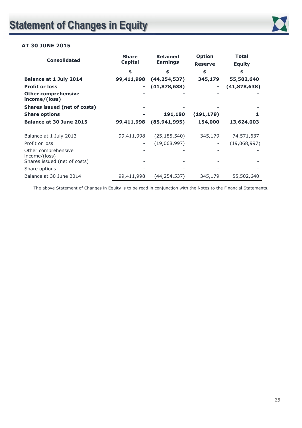

### **AT 30 JUNE 2015**

| <b>Consolidated</b>                         | <b>Share</b><br><b>Capital</b> | <b>Retained</b><br><b>Earnings</b> | <b>Option</b><br><b>Reserve</b> | Total<br><b>Equity</b> |
|---------------------------------------------|--------------------------------|------------------------------------|---------------------------------|------------------------|
|                                             | \$                             | \$                                 | \$                              | \$                     |
| Balance at 1 July 2014                      | 99,411,998                     | (44, 254, 537)                     | 345,179                         | 55,502,640             |
| <b>Profit or loss</b>                       |                                | (41,878,638)                       |                                 | (41, 878, 638)         |
| <b>Other comprehensive</b><br>income/(loss) |                                |                                    |                                 |                        |
| <b>Shares issued (net of costs)</b>         |                                |                                    |                                 |                        |
| <b>Share options</b>                        |                                | 191,180                            | (191, 179)                      |                        |
| <b>Balance at 30 June 2015</b>              | 99,411,998                     | (85, 941, 995)                     | 154,000                         | 13,624,003             |
|                                             |                                |                                    |                                 |                        |
| Balance at 1 July 2013                      | 99,411,998                     | (25, 185, 540)                     | 345,179                         | 74,571,637             |
| Profit or loss                              |                                | (19,068,997)                       |                                 | (19,068,997)           |
| Other comprehensive<br>income/(loss)        |                                |                                    |                                 |                        |
| Shares issued (net of costs)                |                                |                                    |                                 |                        |
| Share options                               |                                |                                    |                                 |                        |
| Balance at 30 June 2014                     | 99,411,998                     | (44,254,537)                       | 345,179                         | 55,502,640             |

The above Statement of Changes in Equity is to be read in conjunction with the Notes to the Financial Statements.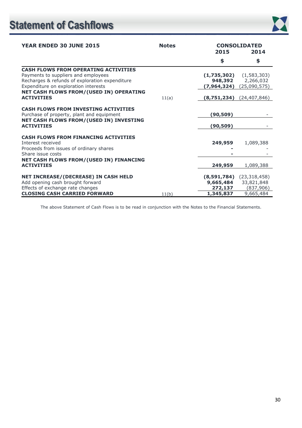

| <b>YEAR ENDED 30 JUNE 2015</b>                                                                                                                                               | <b>Notes</b> | 2015                                | <b>CONSOLIDATED</b><br>2014                              |
|------------------------------------------------------------------------------------------------------------------------------------------------------------------------------|--------------|-------------------------------------|----------------------------------------------------------|
|                                                                                                                                                                              |              | \$                                  | \$                                                       |
| <b>CASH FLOWS FROM OPERATING ACTIVITIES</b><br>Payments to suppliers and employees<br>Recharges & refunds of exploration expenditure<br>Expenditure on exploration interests |              | (1,735,302)<br>948,392              | (1,583,303)<br>2,266,032<br>$(7,964,324)$ $(25,090,575)$ |
| NET CASH FLOWS FROM/(USED IN) OPERATING<br><b>ACTIVITIES</b>                                                                                                                 | 11(a)        | (8,751,234)                         | (24, 407, 846)                                           |
| <b>CASH FLOWS FROM INVESTING ACTIVITIES</b><br>Purchase of property, plant and equipment<br>NET CASH FLOWS FROM/(USED IN) INVESTING                                          |              | (90, 509)                           |                                                          |
| <b>ACTIVITIES</b>                                                                                                                                                            |              | (90, 509)                           |                                                          |
| <b>CASH FLOWS FROM FINANCING ACTIVITIES</b><br>Interest received<br>Proceeds from issues of ordinary shares                                                                  |              | 249,959                             | 1,089,388                                                |
| Share issue costs                                                                                                                                                            |              |                                     |                                                          |
| NET CASH FLOWS FROM/(USED IN) FINANCING<br><b>ACTIVITIES</b>                                                                                                                 |              | 249,959                             | 1,089,388                                                |
| NET INCREASE/(DECREASE) IN CASH HELD<br>Add opening cash brought forward<br>Effects of exchange rate changes                                                                 |              | (8,591,784)<br>9,665,484<br>272,137 | (23, 318, 458)<br>33,821,848<br>(837, 906)               |
| <b>CLOSING CASH CARRIED FORWARD</b>                                                                                                                                          | 11(b)        | 1,345,837                           | 9,665,484                                                |

The above Statement of Cash Flows is to be read in conjunction with the Notes to the Financial Statements.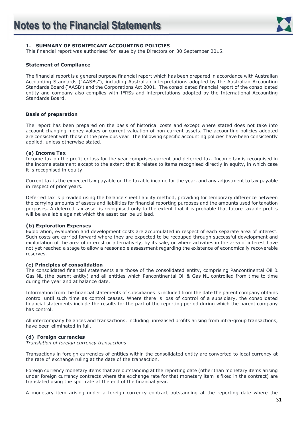#### **1. SUMMARY OF SIGNIFICANT ACCOUNTING POLICIES**

This financial report was authorised for issue by the Directors on 30 September 2015.

#### **Statement of Compliance**

The financial report is a general purpose financial report which has been prepared in accordance with Australian Accounting Standards ("AASBs"), including Australian interpretations adopted by the Australian Accounting Standards Board ('AASB') and the Corporations Act 2001. The consolidated financial report of the consolidated entity and company also complies with IFRSs and interpretations adopted by the International Accounting Standards Board.

#### **Basis of preparation**

The report has been prepared on the basis of historical costs and except where stated does not take into account changing money values or current valuation of non-current assets. The accounting policies adopted are consistent with those of the previous year. The following specific accounting policies have been consistently applied, unless otherwise stated.

#### **(a) Income Tax**

Income tax on the profit or loss for the year comprises current and deferred tax. Income tax is recognised in the income statement except to the extent that it relates to items recognised directly in equity, in which case it is recognised in equity.

Current tax is the expected tax payable on the taxable income for the year, and any adjustment to tax payable in respect of prior years.

Deferred tax is provided using the balance sheet liability method, providing for temporary difference between the carrying amounts of assets and liabilities for financial reporting purposes and the amounts used for taxation purposes. A deferred tax asset is recognised only to the extent that it is probable that future taxable profits will be available against which the asset can be utilised.

#### **(b) Exploration Expenses**

Exploration, evaluation and development costs are accumulated in respect of each separate area of interest. Such costs are carried forward where they are expected to be recouped through successful development and exploitation of the area of interest or alternatively, by its sale, or where activities in the area of interest have not yet reached a stage to allow a reasonable assessment regarding the existence of economically recoverable reserves.

#### **(c) Principles of consolidation**

The consolidated financial statements are those of the consolidated entity, comprising Pancontinental Oil & Gas NL (the parent entity) and all entities which Pancontinental Oil & Gas NL controlled from time to time during the year and at balance date.

Information from the financial statements of subsidiaries is included from the date the parent company obtains control until such time as control ceases. Where there is loss of control of a subsidiary, the consolidated financial statements include the results for the part of the reporting period during which the parent company has control.

All intercompany balances and transactions, including unrealised profits arising from intra-group transactions, have been eliminated in full.

#### **(d) Foreign currencies**

*Translation of foreign currency transactions* 

Transactions in foreign currencies of entities within the consolidated entity are converted to local currency at the rate of exchange ruling at the date of the transaction.

Foreign currency monetary items that are outstanding at the reporting date (other than monetary items arising under foreign currency contracts where the exchange rate for that monetary item is fixed in the contract) are translated using the spot rate at the end of the financial year.

A monetary item arising under a foreign currency contract outstanding at the reporting date where the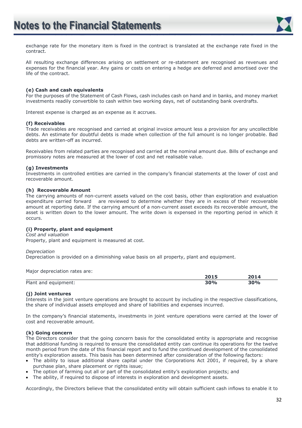

exchange rate for the monetary item is fixed in the contract is translated at the exchange rate fixed in the contract.

All resulting exchange differences arising on settlement or re-statement are recognised as revenues and expenses for the financial year. Any gains or costs on entering a hedge are deferred and amortised over the life of the contract.

#### **(e) Cash and cash equivalents**

For the purposes of the Statement of Cash Flows, cash includes cash on hand and in banks, and money market investments readily convertible to cash within two working days, net of outstanding bank overdrafts.

Interest expense is charged as an expense as it accrues.

#### **(f) Receivables**

Trade receivables are recognised and carried at original invoice amount less a provision for any uncollectible debts. An estimate for doubtful debts is made when collection of the full amount is no longer probable. Bad debts are written-off as incurred.

Receivables from related parties are recognised and carried at the nominal amount due. Bills of exchange and promissory notes are measured at the lower of cost and net realisable value.

#### **(g) Investments**

Investments in controlled entities are carried in the company's financial statements at the lower of cost and recoverable amount.

#### **(h) Recoverable Amount**

The carrying amounts of non-current assets valued on the cost basis, other than exploration and evaluation expenditure carried forward are reviewed to determine whether they are in excess of their recoverable amount at reporting date. If the carrying amount of a non-current asset exceeds its recoverable amount, the asset is written down to the lower amount. The write down is expensed in the reporting period in which it occurs.

#### **(i) Property, plant and equipment**

*Cost and valuation* 

Property, plant and equipment is measured at cost.

#### *Depreciation*

Depreciation is provided on a diminishing value basis on all property, plant and equipment.

Major depreciation rates are:

|                      | 2015       | 2014 |
|----------------------|------------|------|
| Plant and equipment: | <b>30%</b> | 30%  |

#### **(j) Joint ventures**

Interests in the joint venture operations are brought to account by including in the respective classifications, the share of individual assets employed and share of liabilities and expenses incurred.

In the company's financial statements, investments in joint venture operations were carried at the lower of cost and recoverable amount.

#### **(k) Going concern**

The Directors consider that the going concern basis for the consolidated entity is appropriate and recognise that additional funding is required to ensure the consolidated entity can continue its operations for the twelve month period from the date of this financial report and to fund the continued development of the consolidated entity's exploration assets. This basis has been determined after consideration of the following factors:

- The ability to issue additional share capital under the Corporations Act 2001, if required, by a share purchase plan, share placement or rights issue;
- The option of farming out all or part of the consolidated entity's exploration projects; and
- The ability, if required to dispose of interests in exploration and development assets.

Accordingly, the Directors believe that the consolidated entity will obtain sufficient cash inflows to enable it to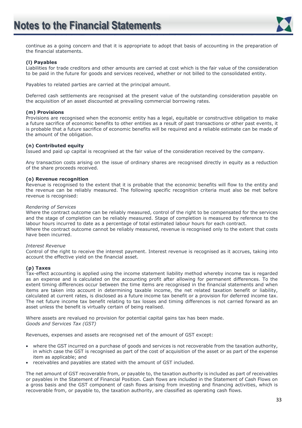

continue as a going concern and that it is appropriate to adopt that basis of accounting in the preparation of the financial statements.

#### **(l) Payables**

Liabilities for trade creditors and other amounts are carried at cost which is the fair value of the consideration to be paid in the future for goods and services received, whether or not billed to the consolidated entity.

Payables to related parties are carried at the principal amount.

Deferred cash settlements are recognised at the present value of the outstanding consideration payable on the acquisition of an asset discounted at prevailing commercial borrowing rates.

#### **(m) Provisions**

Provisions are recognised when the economic entity has a legal, equitable or constructive obligation to make a future sacrifice of economic benefits to other entities as a result of past transactions or other past events, it is probable that a future sacrifice of economic benefits will be required and a reliable estimate can be made of the amount of the obligation.

#### **(n) Contributed equity**

Issued and paid up capital is recognised at the fair value of the consideration received by the company.

Any transaction costs arising on the issue of ordinary shares are recognised directly in equity as a reduction of the share proceeds received.

#### **(o) Revenue recognition**

Revenue is recognised to the extent that it is probable that the economic benefits will flow to the entity and the revenue can be reliably measured. The following specific recognition criteria must also be met before revenue is recognised:

#### *Rendering of Services*

Where the contract outcome can be reliably measured, control of the right to be compensated for the services and the stage of completion can be reliably measured. Stage of completion is measured by reference to the labour hours incurred to date as a percentage of total estimated labour hours for each contract. Where the contract outcome cannot be reliably measured, revenue is recognised only to the extent that costs have been incurred.

#### *Interest Revenue*

Control of the right to receive the interest payment. Interest revenue is recognised as it accrues, taking into account the effective yield on the financial asset.

#### **(p) Taxes**

Tax-effect accounting is applied using the income statement liability method whereby income tax is regarded as an expense and is calculated on the accounting profit after allowing for permanent differences. To the extent timing differences occur between the time items are recognised in the financial statements and when items are taken into account in determining taxable income, the net related taxation benefit or liability, calculated at current rates, is disclosed as a future income tax benefit or a provision for deferred income tax. The net future income tax benefit relating to tax losses and timing differences is not carried forward as an asset unless the benefit is virtually certain of being realised.

Where assets are revalued no provision for potential capital gains tax has been made. *Goods and Services Tax (GST)* 

Revenues, expenses and assets are recognised net of the amount of GST except:

- where the GST incurred on a purchase of goods and services is not recoverable from the taxation authority, in which case the GST is recognised as part of the cost of acquisition of the asset or as part of the expense item as applicable; and
- receivables and payables are stated with the amount of GST included.

The net amount of GST recoverable from, or payable to, the taxation authority is included as part of receivables or payables in the Statement of Financial Position. Cash flows are included in the Statement of Cash Flows on a gross basis and the GST component of cash flows arising from investing and financing activities, which is recoverable from, or payable to, the taxation authority, are classified as operating cash flows.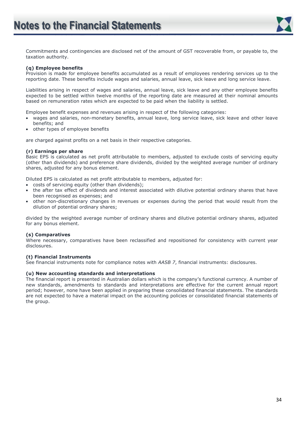

Commitments and contingencies are disclosed net of the amount of GST recoverable from, or payable to, the taxation authority.

#### **(q) Employee benefits**

Provision is made for employee benefits accumulated as a result of employees rendering services up to the reporting date. These benefits include wages and salaries, annual leave, sick leave and long service leave.

Liabilities arising in respect of wages and salaries, annual leave, sick leave and any other employee benefits expected to be settled within twelve months of the reporting date are measured at their nominal amounts based on remuneration rates which are expected to be paid when the liability is settled.

Employee benefit expenses and revenues arising in respect of the following categories:

- wages and salaries, non-monetary benefits, annual leave, long service leave, sick leave and other leave benefits; and
- other types of employee benefits

are charged against profits on a net basis in their respective categories.

#### **(r) Earnings per share**

Basic EPS is calculated as net profit attributable to members, adjusted to exclude costs of servicing equity (other than dividends) and preference share dividends, divided by the weighted average number of ordinary shares, adjusted for any bonus element.

Diluted EPS is calculated as net profit attributable to members, adjusted for:

- costs of servicing equity (other than dividends);
- the after tax effect of dividends and interest associated with dilutive potential ordinary shares that have been recognised as expenses; and
- other non-discretionary changes in revenues or expenses during the period that would result from the dilution of potential ordinary shares;

divided by the weighted average number of ordinary shares and dilutive potential ordinary shares, adjusted for any bonus element.

#### **(s) Comparatives**

Where necessary, comparatives have been reclassified and repositioned for consistency with current year disclosures.

#### **(t) Financial Instruments**

See financial instruments note for compliance notes with *AASB 7*, financial instruments: disclosures.

#### **(u) New accounting standards and interpretations**

The financial report is presented in Australian dollars which is the company's functional currency. A number of new standards, amendments to standards and interpretations are effective for the current annual report period; however, none have been applied in preparing these consolidated financial statements. The standards are not expected to have a material impact on the accounting policies or consolidated financial statements of the group.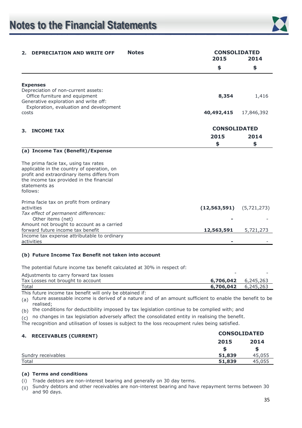

| <b>Notes</b><br><b>DEPRECIATION AND WRITE OFF</b><br>2.                                                                                                                                                    |  | <b>CONSOLIDATED</b><br>2015 | 2014        |
|------------------------------------------------------------------------------------------------------------------------------------------------------------------------------------------------------------|--|-----------------------------|-------------|
|                                                                                                                                                                                                            |  | \$                          | \$          |
| <b>Expenses</b><br>Depreciation of non-current assets:<br>Office furniture and equipment<br>Generative exploration and write off:                                                                          |  | 8,354                       | 1,416       |
| Exploration, evaluation and development<br>costs                                                                                                                                                           |  | 40,492,415                  | 17,846,392  |
| <b>INCOME TAX</b><br>З.                                                                                                                                                                                    |  | <b>CONSOLIDATED</b>         |             |
|                                                                                                                                                                                                            |  | 2015<br>\$                  | 2014<br>\$  |
| (a) Income Tax (Benefit)/Expense                                                                                                                                                                           |  |                             |             |
| The prima facie tax, using tax rates<br>applicable in the country of operation, on<br>profit and extraordinary items differs from<br>the income tax provided in the financial<br>statements as<br>follows: |  |                             |             |
| Prima facie tax on profit from ordinary<br>activities<br>Tax effect of permanent differences:<br>Other items (net)<br>Amount not brought to account as a carried                                           |  | (12, 563, 591)              | (5,721,273) |
| forward future income tax benefit                                                                                                                                                                          |  | 12,563,591                  | 5,721,273   |
| Income tax expense attributable to ordinary<br>activities                                                                                                                                                  |  |                             |             |

#### **(b) Future Income Tax Benefit not taken into account**

The potential future income tax benefit calculated at 30% in respect of:

| Adjustments to carry forward tax losses | -                          |  |
|-----------------------------------------|----------------------------|--|
| Tax Losses not brought to account       | <b>6,706,042</b> 6,245,263 |  |
| Total                                   | <b>6,706,042</b> 6,245,263 |  |

This future income tax benefit will only be obtained if:

(a) future assessable income is derived of a nature and of an amount sufficient to enable the benefit to be realised;

(b) the conditions for deductibility imposed by tax legislation continue to be complied with; and

 $(c)$  no changes in tax legislation adversely affect the consolidated entity in realising the benefit.

The recognition and utilisation of losses is subject to the loss recoupment rules being satisfied.

| 4. RECEIVABLES (CURRENT) | <b>CONSOLIDATED</b> |        |  |
|--------------------------|---------------------|--------|--|
|                          | 2015                | 2014   |  |
|                          |                     | S      |  |
| Sundry receivables       | 51,839              | 45,055 |  |
| Total                    | 51,839              | 45,055 |  |

#### **(a) Terms and conditions**

(i) Trade debtors are non-interest bearing and generally on 30 day terms.

(ii) Sundry debtors and other receivables are non-interest bearing and have repayment terms between 30 and 90 days.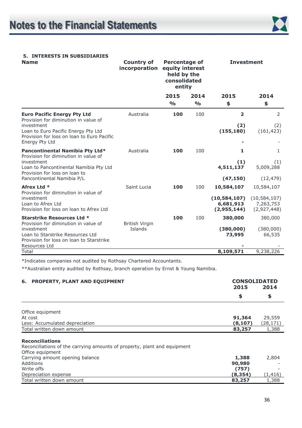

#### **5. INTERESTS IN SUBSIDIARIES**

| <b>Name</b>                                                                                                       | <b>Country of</b><br>incorporation | <b>Percentage of</b><br>equity interest<br>held by the<br>consolidated<br>entity |               | <b>Investment</b>                          |                                            |
|-------------------------------------------------------------------------------------------------------------------|------------------------------------|----------------------------------------------------------------------------------|---------------|--------------------------------------------|--------------------------------------------|
|                                                                                                                   |                                    | 2015                                                                             | 2014          | 2015                                       | 2014                                       |
|                                                                                                                   |                                    | $\frac{0}{0}$                                                                    | $\frac{0}{0}$ | \$                                         | \$                                         |
| <b>Euro Pacific Energy Pty Ltd</b><br>Provision for diminution in value of                                        | Australia                          | 100                                                                              | 100           | $\overline{2}$                             | 2                                          |
| investment<br>Loan to Euro Pacific Energy Pty Ltd<br>Provision for loss on loan to Euro Pacific<br>Energy Pty Ltd |                                    |                                                                                  |               | (2)<br>(155, 180)                          | (2)<br>(161, 423)                          |
| Pancontinental Namibia Pty Ltd*<br>Provision for diminution in value of                                           | Australia                          | 100                                                                              | 100           | 1                                          | $\mathbf{1}$                               |
| investment<br>Loan to Pancontinental Namibia Pty Ltd<br>Provision for loss on loan to                             |                                    |                                                                                  |               | (1)<br>4,511,137                           | (1)<br>5,009,288                           |
| Pancontinental Namibia P/L                                                                                        |                                    |                                                                                  |               | (47, 150)                                  | (12, 479)                                  |
| Afrex Ltd *<br>Provision for diminution in value of                                                               | Saint Lucia                        | 100                                                                              | 100           | 10,584,107                                 | 10,584,107                                 |
| investment<br>Loan to Afrex Ltd<br>Provision for loss on loan to Afrex Ltd                                        |                                    |                                                                                  |               | (10, 584, 107)<br>6,681,913<br>(2,955,144) | (10, 584, 107)<br>7,263,753<br>(2,927,448) |
| <b>Starstrike Resources Ltd *</b><br>Provision for diminution in value of                                         | British Virgin                     | 100                                                                              | 100           | 380,000                                    | 380,000                                    |
| investment<br>Loan to Starstrike Resources Ltd<br>Provision for loss on loan to Starstrike<br>Resources Ltd       | Islands                            |                                                                                  |               | (380,000)<br>73,995                        | (380,000)<br>66,535                        |
| Total                                                                                                             |                                    |                                                                                  |               | 8,109,571                                  | 9,238,226                                  |

\*Indicates companies not audited by Rothsay Chartered Accountants.

\*\*Australian entity audited by Rothsay, branch operation by Ernst & Young Namibia.

| 6. PROPERTY, PLANT AND EQUIPMENT                                         | <b>CONSOLIDATED</b><br>2015<br>2014 |          |  |
|--------------------------------------------------------------------------|-------------------------------------|----------|--|
|                                                                          | \$                                  | \$       |  |
| Office equipment                                                         |                                     |          |  |
| At cost                                                                  | 91,364                              | 29,559   |  |
| Less: Accumulated depreciation                                           | (8,107)                             | (28,171) |  |
| Total written down amount                                                | 83,257                              | 1,388    |  |
| <b>Reconciliations</b>                                                   |                                     |          |  |
| Reconciliations of the carrying amounts of property, plant and equipment |                                     |          |  |
| Office equipment                                                         |                                     |          |  |
| Carrying amount opening balance                                          | 1,388                               | 2,804    |  |
| Additions                                                                | 90,980                              |          |  |
| Write offs                                                               | (757)                               |          |  |
| Depreciation expense                                                     | (8, 354)                            | (1, 416) |  |
| Total written down amount                                                | 83,257                              | 1,388    |  |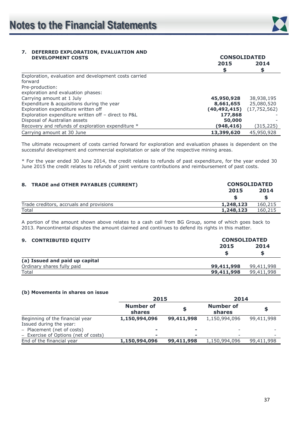## **7. DEFERRED EXPLORATION, EVALUATION AND**

| <b>DEVELOPMENT COSTS</b>                              | <b>CONSOLIDATED</b> |                |  |
|-------------------------------------------------------|---------------------|----------------|--|
|                                                       | 2015                | 2014           |  |
|                                                       | \$                  |                |  |
| Exploration, evaluation and development costs carried |                     |                |  |
| forward                                               |                     |                |  |
| Pre-production:                                       |                     |                |  |
| exploration and evaluation phases:                    |                     |                |  |
| Carrying amount at 1 July                             | 45,950,928          | 38,938,195     |  |
| Expenditure & acquisitions during the year            | 8,661,655           | 25,080,520     |  |
| Exploration expenditure written off                   | (40, 492, 415)      | (17, 752, 562) |  |
| Exploration expenditure written off - direct to P&L   | 177,868             |                |  |
| Disposal of Australian assets                         | 50,000              |                |  |
| Recovery and refunds of exploration expenditure *     | (948,416)           | (315,225)      |  |
| Carrying amount at 30 June                            | 13,399,620          | 45,950,928     |  |

The ultimate recoupment of costs carried forward for exploration and evaluation phases is dependent on the successful development and commercial exploitation or sale of the respective mining areas.

\* For the year ended 30 June 2014, the credit relates to refunds of past expenditure, for the year ended 30 June 2015 the credit relates to refunds of joint venture contributions and reimbursement of past costs.

| 8. TRADE and OTHER PAYABLES (CURRENT)    |           | <b>CONSOLIDATED</b> |  |  |  |
|------------------------------------------|-----------|---------------------|--|--|--|
|                                          | 2015      | 2014                |  |  |  |
|                                          |           |                     |  |  |  |
| Trade creditors, accruals and provisions | 1,248,123 | 160,215             |  |  |  |
| Total                                    | 1,248,123 | 160,215             |  |  |  |

A portion of the amount shown above relates to a cash call from BG Group, some of which goes back to 2013. Pancontinental disputes the amount claimed and continues to defend its rights in this matter.

#### **9. CONTRIBUTED EQUITY CONSOLIDATED**

|                                | 2015       | 2014       |
|--------------------------------|------------|------------|
| (a) Issued and paid up capital |            |            |
| Ordinary shares fully paid     | 99,411,998 | 99,411,998 |
| Total                          | 99,411,998 | 99,411,998 |

#### **(b) Movements in shares on issue**

|                                      | 2015                       |                          | 2014                       |            |  |
|--------------------------------------|----------------------------|--------------------------|----------------------------|------------|--|
|                                      | <b>Number of</b><br>shares |                          | <b>Number of</b><br>shares | S          |  |
| Beginning of the financial year      | 1,150,994,096              | 99,411,998               | 1,150,994,096              | 99,411,998 |  |
| Issued during the year:              |                            |                          |                            |            |  |
| - Placement (net of costs)           |                            | $\overline{\phantom{a}}$ |                            |            |  |
| - Exercise of Options (net of costs) |                            | $\sim$                   |                            |            |  |
| End of the financial year            | 1,150,994,096              | 99,411,998               | 1,150,994,096              | 99,411,998 |  |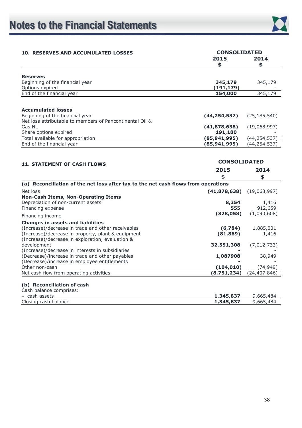

| <b>10. RESERVES AND ACCUMULATED LOSSES</b>                                                                                                                   | <b>CONSOLIDATED</b>        |                                 |  |
|--------------------------------------------------------------------------------------------------------------------------------------------------------------|----------------------------|---------------------------------|--|
|                                                                                                                                                              | 2015<br>\$                 | 2014<br>\$                      |  |
| <b>Reserves</b>                                                                                                                                              |                            |                                 |  |
| Beginning of the financial year<br>Options expired                                                                                                           | 345,179<br>(191, 179)      | 345,179                         |  |
| End of the financial year                                                                                                                                    | 154,000                    | 345,179                         |  |
|                                                                                                                                                              |                            |                                 |  |
| <b>Accumulated losses</b><br>Beginning of the financial year<br>Net loss attributable to members of Pancontinental Oil &                                     | (44, 254, 537)             | (25, 185, 540)                  |  |
| Gas NL                                                                                                                                                       | (41, 878, 638)             | (19,068,997)                    |  |
| Share options expired                                                                                                                                        | 191,180                    |                                 |  |
| Total available for appropriation                                                                                                                            | (85, 941, 995)             | (44, 254, 537)                  |  |
| End of the financial year                                                                                                                                    | (85, 941, 995)             | (44, 254, 537)                  |  |
| <b>11. STATEMENT OF CASH FLOWS</b>                                                                                                                           | <b>CONSOLIDATED</b>        |                                 |  |
|                                                                                                                                                              | 2015                       | 2014                            |  |
|                                                                                                                                                              | \$                         | \$                              |  |
| (a) Reconciliation of the net loss after tax to the net cash flows from operations                                                                           |                            |                                 |  |
| Net loss                                                                                                                                                     | (41,878,638)               | (19,068,997)                    |  |
| <b>Non-Cash Items, Non-Operating Items</b><br>Depreciation of non-current assets<br>Financing expense<br>Financing income                                    | 8,354<br>555<br>(328, 058) | 1,416<br>912,659<br>(1,090,608) |  |
| <b>Changes in assets and liabilities</b>                                                                                                                     |                            |                                 |  |
| (Increase)/decrease in trade and other receivables<br>(Increase)/decrease in property, plant & equipment<br>(Increase)/decrease in exploration, evaluation & | (6, 784)<br>(81, 869)      | 1,885,001<br>1,416              |  |
| development                                                                                                                                                  | 32,551,308                 | (7,012,733)                     |  |
| (Increase)/decrease in interests in subsidiaries<br>(Decrease)/increase in trade and other payables<br>(Decrease)/increase in employee entitlements          | 1,087908                   | 38,949                          |  |
| Other non-cash                                                                                                                                               | (104, 010)                 | (74, 949)                       |  |
| Net cash flow from operating activities                                                                                                                      | (8,751,234)                | (24, 407, 846)                  |  |
| (b) Reconciliation of cash                                                                                                                                   |                            |                                 |  |
| Cash balance comprises:<br>cach accotc                                                                                                                       | 1.345.837                  | Q 665 181                       |  |

| cach<br>. assets<br>$-$<br>саэн | <b>1 345 837</b><br><u>.</u> | 484<br>כסס,י<br>ч |
|---------------------------------|------------------------------|-------------------|
| Closing                         | . 837                        | 484               |
| balance                         | 24F                          | ,665              |
| cash                            | JJ.                          | ч                 |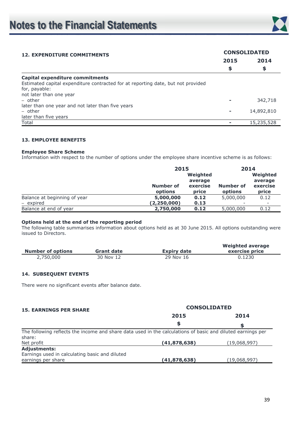

| <b>12. EXPENDITURE COMMITMENTS</b>                                               |    | <b>CONSOLIDATED</b> |  |  |
|----------------------------------------------------------------------------------|----|---------------------|--|--|
|                                                                                  |    | 2014                |  |  |
|                                                                                  | \$ | \$                  |  |  |
| Capital expenditure commitments                                                  |    |                     |  |  |
| Estimated capital expenditure contracted for at reporting date, but not provided |    |                     |  |  |
| for, payable:                                                                    |    |                     |  |  |
| not later than one year                                                          |    |                     |  |  |
| $-$ other                                                                        |    | 342,718             |  |  |
| later than one year and not later than five years                                |    |                     |  |  |
| - other                                                                          | ۰  | 14,892,810          |  |  |
| later than five years                                                            |    |                     |  |  |
| Total                                                                            |    | 15,235,528          |  |  |

#### **13. EMPLOYEE BENEFITS**

#### **Employee Share Scheme**

Information with respect to the number of options under the employee share incentive scheme is as follows:

|                                           | 2015                       |                                          | 2014                 |                                          |
|-------------------------------------------|----------------------------|------------------------------------------|----------------------|------------------------------------------|
|                                           | Number of<br>options       | Weighted<br>average<br>exercise<br>price | Number of<br>options | Weighted<br>average<br>exercise<br>price |
| Balance at beginning of year<br>- expired | 5,000,000<br>(2, 250, 000) | 0.12<br>0.13                             | 5,000,000            | 0.12                                     |
| Balance at end of year                    | 2,750,000                  | 0.12                                     | 5,000,000            | 0.12                                     |

#### **Options held at the end of the reporting period**

The following table summarises information about options held as at 30 June 2015. All options outstanding were issued to Directors.

| <b>Number of options</b> | Grant date | <b>Expiry date</b> | Weighted average<br>exercise price |
|--------------------------|------------|--------------------|------------------------------------|
| 2,750,000                | 30 Nov 12  | 29 Nov 16          | 0.1230                             |

#### **14. SUBSEQUENT EVENTS**

There were no significant events after balance date.

| <b>15. EARNINGS PER SHARE</b>                                                                               | <b>CONSOLIDATED</b> |              |  |  |
|-------------------------------------------------------------------------------------------------------------|---------------------|--------------|--|--|
|                                                                                                             | 2015<br>2014        |              |  |  |
|                                                                                                             | \$                  |              |  |  |
| The following reflects the income and share data used in the calculations of basic and diluted earnings per |                     |              |  |  |
| share:                                                                                                      |                     |              |  |  |
| Net profit                                                                                                  | (41, 878, 638)      | (19,068,997) |  |  |
| <b>Adjustments:</b>                                                                                         |                     |              |  |  |
| Earnings used in calculating basic and diluted                                                              |                     |              |  |  |
| earnings per share                                                                                          | (41, 878, 638)      | (19,068,997) |  |  |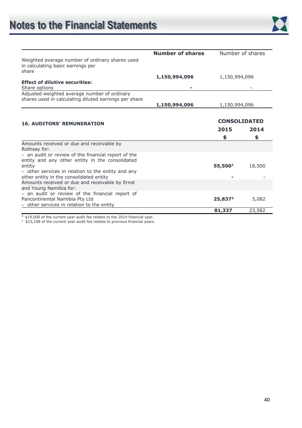

|                                                                                                                                                                                                                   | <b>Number of shares</b> |                     | Number of shares |
|-------------------------------------------------------------------------------------------------------------------------------------------------------------------------------------------------------------------|-------------------------|---------------------|------------------|
| Weighted average number of ordinary shares used<br>in calculating basic earnings per<br>share                                                                                                                     | 1,150,994,096           | 1,150,994,096       |                  |
| <b>Effect of dilutive securities:</b>                                                                                                                                                                             |                         |                     |                  |
| Share options                                                                                                                                                                                                     |                         |                     |                  |
| Adjusted weighted average number of ordinary<br>shares used in calculating diluted earnings per share                                                                                                             |                         |                     |                  |
|                                                                                                                                                                                                                   | 1,150,994,096           | 1,150,994,096       |                  |
| <b>16. AUDITORS' REMUNERATION</b>                                                                                                                                                                                 |                         | <b>CONSOLIDATED</b> |                  |
|                                                                                                                                                                                                                   |                         | 2015                | 2014             |
|                                                                                                                                                                                                                   |                         | \$                  | \$               |
| Amounts received or due and receivable by<br>Rothsay for:                                                                                                                                                         |                         |                     |                  |
| - an audit or review of the financial report of the<br>entity and any other entity in the consolidated<br>entity<br>- other services in relation to the entity and any<br>other entity in the consolidated entity |                         | 55,5001             | 18,500           |
| Amounts received or due and receivable by Ernst<br>and Young Namibia for:                                                                                                                                         |                         |                     |                  |
| - an audit or review of the financial report of<br>Pancontinental Namibia Pty Ltd<br>- other services in relation to the entity                                                                                   |                         | 25,837 <sup>2</sup> | 5,082            |
|                                                                                                                                                                                                                   |                         | 81,337              | 23,582           |

 $1$  \$19,000 of the current year audit fee relates to the 2014 financial year.<br><sup>2</sup> \$15,198 of the current year audit fee relates to previous financial years.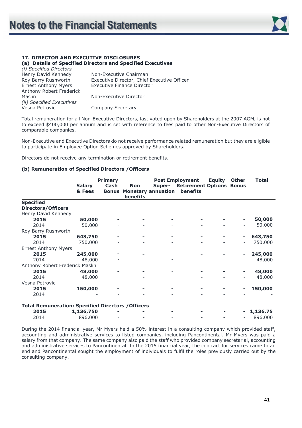

#### **17. DIRECTOR AND EXECUTIVE DISCLOSURES (a) Details of Specified Directors and Specified Executives**

| (i) Specified Directors     |                                             |
|-----------------------------|---------------------------------------------|
| Henry David Kennedy         | Non-Executive Chairman                      |
| Roy Barry Rushworth         | Executive Director, Chief Executive Officer |
| <b>Ernest Anthony Myers</b> | <b>Executive Finance Director</b>           |
| Anthony Robert Frederick    |                                             |
| Maslin                      | Non-Executive Director                      |
| (ii) Specified Executives   |                                             |
| Vesna Petrovic              | Company Secretary                           |

Total remuneration for all Non-Executive Directors, last voted upon by Shareholders at the 2007 AGM, is not to exceed \$400,000 per annum and is set with reference to fees paid to other Non-Executive Directors of comparable companies.

Non-Executive and Executive Directors do not receive performance related remuneration but they are eligible to participate in Employee Option Schemes approved by Shareholders.

Directors do not receive any termination or retirement benefits.

#### **(b) Remuneration of Specified Directors /Officers**

|                                                           | <b>Primary</b> |              |                 | <b>Post Employment</b>    | <b>Equity</b>                   | <b>Other</b> | <b>Total</b> |          |
|-----------------------------------------------------------|----------------|--------------|-----------------|---------------------------|---------------------------------|--------------|--------------|----------|
|                                                           | <b>Salary</b>  | Cash         | <b>Non</b>      | Super-                    | <b>Retirement Options Bonus</b> |              |              |          |
|                                                           | & Fees         | <b>Bonus</b> |                 | <b>Monetary annuation</b> | benefits                        |              |              |          |
|                                                           |                |              | <b>benefits</b> |                           |                                 |              |              |          |
| <b>Specified</b>                                          |                |              |                 |                           |                                 |              |              |          |
| <b>Directors/Officers</b>                                 |                |              |                 |                           |                                 |              |              |          |
| Henry David Kennedy                                       |                |              |                 |                           |                                 |              |              |          |
| 2015                                                      | 50,000         |              |                 |                           |                                 |              |              | 50,000   |
| 2014                                                      | 50,000         |              |                 |                           |                                 |              |              | 50,000   |
| Roy Barry Rushworth                                       |                |              |                 |                           |                                 |              |              |          |
| 2015                                                      | 643,750        |              |                 |                           |                                 |              |              | 643,750  |
| 2014                                                      | 750,000        |              |                 |                           |                                 |              |              | 750,000  |
| <b>Ernest Anthony Myers</b>                               |                |              |                 |                           |                                 |              |              |          |
| 2015                                                      | 245,000        |              |                 |                           |                                 |              |              | 245,000  |
| 2014                                                      | 48,000         |              |                 |                           |                                 |              |              | 48,000   |
| Anthony Robert Frederick Maslin                           |                |              |                 |                           |                                 |              |              |          |
| 2015                                                      | 48,000         |              |                 |                           |                                 |              | ۰            | 48,000   |
| 2014                                                      | 48,000         |              |                 |                           |                                 |              |              | 48,000   |
| Vesna Petrovic                                            |                |              |                 |                           |                                 |              |              |          |
| 2015                                                      | 150,000        |              |                 |                           |                                 |              |              | 150,000  |
| 2014                                                      |                |              |                 |                           |                                 |              |              |          |
| <b>Total Remuneration: Specified Directors / Officers</b> |                |              |                 |                           |                                 |              |              |          |
| 2015                                                      | 1,136,750      |              |                 |                           |                                 |              |              | 1,136,75 |
| 2014                                                      | 896,000        |              |                 |                           |                                 |              |              | 896,000  |

During the 2014 financial year, Mr Myers held a 50% interest in a consulting company which provided staff, accounting and administrative services to listed companies, including Pancontinental. Mr Myers was paid a salary from that company. The same company also paid the staff who provided company secretarial, accounting and administrative services to Pancontinental. In the 2015 financial year, the contract for services came to an end and Pancontinental sought the employment of individuals to fulfil the roles previously carried out by the consulting company.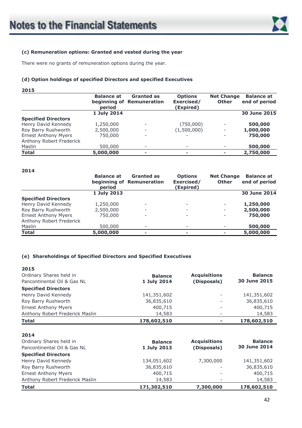

#### **(c) Remuneration options: Granted and vested during the year**

There were no grants of remuneration options during the year.

#### **(d) Option holdings of specified Directors and specified Executives**

| 2015                        |                             |                                                |                                           |                                   |                                    |
|-----------------------------|-----------------------------|------------------------------------------------|-------------------------------------------|-----------------------------------|------------------------------------|
|                             | <b>Balance at</b><br>period | <b>Granted as</b><br>beginning of Remuneration | <b>Options</b><br>Exercised/<br>(Expired) | <b>Net Change</b><br><b>Other</b> | <b>Balance at</b><br>end of period |
|                             | 1 July 2014                 |                                                |                                           |                                   | <b>30 June 2015</b>                |
| <b>Specified Directors</b>  |                             |                                                |                                           |                                   |                                    |
| Henry David Kennedy         | 1,250,000                   |                                                | (750,000)                                 |                                   | 500,000                            |
| Roy Barry Rushworth         | 2,500,000                   | $\overline{\phantom{a}}$                       | (1,500,000)                               | $\overline{\phantom{0}}$          | 1,000,000                          |
| <b>Ernest Anthony Myers</b> | 750,000                     | $\overline{\phantom{a}}$                       | $\overline{\phantom{0}}$                  |                                   | 750,000                            |
| Anthony Robert Frederick    |                             |                                                |                                           |                                   |                                    |
| Maslin                      | 500,000                     | -                                              | $\overline{\phantom{a}}$                  |                                   | 500,000                            |
| <b>Total</b>                | 5,000,000                   | ٠                                              | ٠                                         |                                   | 2,750,000                          |

#### **2014**

|                             | <b>Balance at</b><br>period | <b>Granted as</b><br>beginning of Remuneration | <b>Options</b><br>Exercised/<br>(Expired) | <b>Net Change</b><br><b>Other</b> | <b>Balance at</b><br>end of period |
|-----------------------------|-----------------------------|------------------------------------------------|-------------------------------------------|-----------------------------------|------------------------------------|
|                             | 1 July 2013                 |                                                |                                           |                                   | <b>30 June 2014</b>                |
| <b>Specified Directors</b>  |                             |                                                |                                           |                                   |                                    |
| Henry David Kennedy         | 1,250,000                   | -                                              | ۰                                         | $\overline{\phantom{a}}$          | 1,250,000                          |
| Roy Barry Rushworth         | 2,500,000                   | $\overline{\phantom{0}}$                       | ۰                                         |                                   | 2,500,000                          |
| <b>Ernest Anthony Myers</b> | 750,000                     |                                                | ۰                                         |                                   | 750,000                            |
| Anthony Robert Frederick    |                             |                                                |                                           |                                   |                                    |
| Maslin                      | 500,000                     | -                                              | ۰                                         |                                   | 500,000                            |
| <b>Total</b>                | 5,000,000                   | $\overline{\phantom{a}}$                       | ۰                                         |                                   | 5,000,000                          |

#### **(e) Shareholdings of Specified Directors and Specified Executives**

| 2015                            |                |                     |                     |
|---------------------------------|----------------|---------------------|---------------------|
| Ordinary Shares held in         | <b>Balance</b> | <b>Acquisitions</b> | <b>Balance</b>      |
| Pancontinental Oil & Gas NL     | 1 July 2014    | (Disposals)         | <b>30 June 2015</b> |
| <b>Specified Directors</b>      |                |                     |                     |
| Henry David Kennedy             | 141,351,602    |                     | 141,351,602         |
| Roy Barry Rushworth             | 36,835,610     |                     | 36,835,610          |
| <b>Ernest Anthony Myers</b>     | 400,715        |                     | 400,715             |
| Anthony Robert Frederick Maslin | 14,583         | -                   | 14,583              |
| <b>Total</b>                    | 178,602,510    |                     | 178,602,510         |
|                                 |                |                     |                     |
| 2014                            |                |                     |                     |
| Ordinary Shares held in         | <b>Balance</b> | <b>Acquisitions</b> | <b>Balance</b>      |
| Pancontinental Oil & Gas NL     | 1 July 2013    | (Disposals)         | <b>30 June 2014</b> |
| <b>Specified Directors</b>      |                |                     |                     |
| Henry David Kennedy             | 134,051,602    | 7,300,000           | 141,351,602         |
| Roy Barry Rushworth             | 36,835,610     |                     | 36,835,610          |
| <b>Ernest Anthony Myers</b>     | 400,715        |                     | 400,715             |
| Anthony Robert Frederick Maslin | 14,583         |                     | 14,583              |
| <b>Total</b>                    | 171,302,510    | 7,300,000           | 178,602,510         |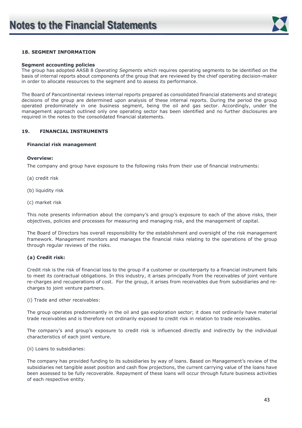

#### **18. SEGMENT INFORMATION**

#### **Segment accounting policies**

The group has adopted AASB 8 *Operating Segments* which requires operating segments to be identified on the basis of internal reports about components of the group that are reviewed by the chief operating decision-maker in order to allocate resources to the segment and to assess its performance.

The Board of Pancontinental reviews internal reports prepared as consolidated financial statements and strategic decisions of the group are determined upon analysis of these internal reports. During the period the group operated predominately in one business segment, being the oil and gas sector. Accordingly, under the management approach outlined only one operating sector has been identified and no further disclosures are required in the notes to the consolidated financial statements.

#### **19. FINANCIAL INSTRUMENTS**

#### **Financial risk management**

#### **Overview:**

The company and group have exposure to the following risks from their use of financial instruments:

- (a) credit risk
- (b) liquidity risk
- (c) market risk

This note presents information about the company's and group's exposure to each of the above risks, their objectives, policies and processes for measuring and managing risk, and the management of capital.

The Board of Directors has overall responsibility for the establishment and oversight of the risk management framework. Management monitors and manages the financial risks relating to the operations of the group through regular reviews of the risks.

#### **(a) Credit risk:**

Credit risk is the risk of financial loss to the group if a customer or counterparty to a financial instrument fails to meet its contractual obligations. In this industry, it arises principally from the receivables of joint venture re-charges and recuperations of cost. For the group, it arises from receivables due from subsidiaries and recharges to joint venture partners.

(i) Trade and other receivables:

The group operates predominantly in the oil and gas exploration sector; it does not ordinarily have material trade receivables and is therefore not ordinarily exposed to credit risk in relation to trade receivables.

The company's and group's exposure to credit risk is influenced directly and indirectly by the individual characteristics of each joint venture.

(ii) Loans to subsidiaries:

The company has provided funding to its subsidiaries by way of loans. Based on Management's review of the subsidiaries net tangible asset position and cash flow projections, the current carrying value of the loans have been assessed to be fully recoverable. Repayment of these loans will occur through future business activities of each respective entity.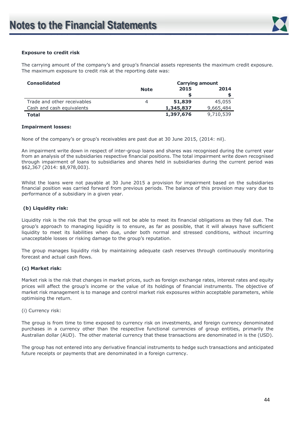

#### **Exposure to credit risk**

The carrying amount of the company's and group's financial assets represents the maximum credit exposure. The maximum exposure to credit risk at the reporting date was:

| <b>Consolidated</b>         |             | <b>Carrying amount</b> |           |  |
|-----------------------------|-------------|------------------------|-----------|--|
|                             | <b>Note</b> | 2015<br>2014           |           |  |
|                             |             |                        |           |  |
| Trade and other receivables | 4           | 51,839                 | 45,055    |  |
| Cash and cash equivalents   |             | 1,345,837              | 9,665,484 |  |
| Total                       |             | 1,397,676              | 9,710,539 |  |

#### **Impairment losses:**

None of the company's or group's receivables are past due at 30 June 2015, (2014: nil).

An impairment write down in respect of inter-group loans and shares was recognised during the current year from an analysis of the subsidiaries respective financial positions. The total impairment write down recognised through impairment of loans to subsidiaries and shares held in subsidiaries during the current period was \$62,367 (2014: \$8,978,003).

Whilst the loans were not payable at 30 June 2015 a provision for impairment based on the subsidiaries financial position was carried forward from previous periods. The balance of this provision may vary due to performance of a subsidiary in a given year.

#### **(b) Liquidity risk:**

Liquidity risk is the risk that the group will not be able to meet its financial obligations as they fall due. The group's approach to managing liquidity is to ensure, as far as possible, that it will always have sufficient liquidity to meet its liabilities when due, under both normal and stressed conditions, without incurring unacceptable losses or risking damage to the group's reputation.

The group manages liquidity risk by maintaining adequate cash reserves through continuously monitoring forecast and actual cash flows.

#### **(c) Market risk:**

Market risk is the risk that changes in market prices, such as foreign exchange rates, interest rates and equity prices will affect the group's income or the value of its holdings of financial instruments. The objective of market risk management is to manage and control market risk exposures within acceptable parameters, while optimising the return.

#### (i) Currency risk:

The group is from time to time exposed to currency risk on investments, and foreign currency denominated purchases in a currency other than the respective functional currencies of group entities, primarily the Australian dollar (AUD). The other material currency that these transactions are denominated in is the (USD).

The group has not entered into any derivative financial instruments to hedge such transactions and anticipated future receipts or payments that are denominated in a foreign currency.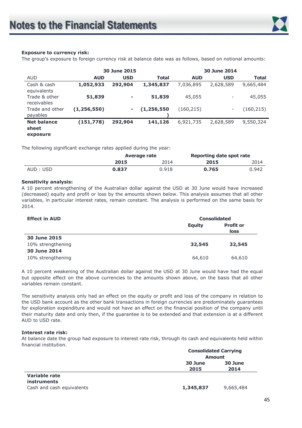

#### **Exposure to currency risk:**

The group's exposure to foreign currency risk at balance date was as follows, based on notional amounts:

|                                         |               | <b>30 June 2015</b> |               |            | <b>30 June 2014</b> |              |
|-----------------------------------------|---------------|---------------------|---------------|------------|---------------------|--------------|
| <b>AUD</b>                              | <b>AUD</b>    | <b>USD</b>          | <b>Total</b>  | <b>AUD</b> | <b>USD</b>          | <b>Total</b> |
| Cash & cash<br>equivalents              | 1,052,933     | 292,904             | 1,345,837     | 7,036,895  | 2,628,589           | 9,665,484    |
| Trade & other<br>receivables            | 51,839        |                     | 51,839        | 45,055     | -                   | 45,055       |
| Trade and other<br>payables             | (1, 256, 550) |                     | (1, 256, 550) | (160,215)  |                     | (160, 215)   |
| <b>Net balance</b><br>sheet<br>exposure | (151, 778)    | 292,904             | 141,126       | 6,921,735  | 2,628,589           | 9,550,324    |

The following significant exchange rates applied during the year:

|           |       | Average rate |       | Reporting date spot rate |
|-----------|-------|--------------|-------|--------------------------|
|           | 2015  | 2014         | 2015  | 2014                     |
| AUD : USD | 0.837 | 0.918        | 0.765 | 0.942                    |

#### **Sensitivity analysis:**

A 10 percent strengthening of the Australian dollar against the USD at 30 June would have increased (decreased) equity and profit or loss by the amounts shown below. This analysis assumes that all other variables, in particular interest rates, remain constant. The analysis is performed on the same basis for 2014.

| <b>Effect in AUD</b> |                                           | <b>Consolidated</b> |  |  |
|----------------------|-------------------------------------------|---------------------|--|--|
|                      | <b>Profit or</b><br><b>Equity</b><br>loss |                     |  |  |
| 30 June 2015         |                                           |                     |  |  |
| 10% strengthening    | 32,545                                    | 32,545              |  |  |
| 30 June 2014         |                                           |                     |  |  |
| 10% strengthening    | 64,610                                    | 64,610              |  |  |

A 10 percent weakening of the Australian dollar against the USD at 30 June would have had the equal but opposite effect on the above currencies to the amounts shown above, on the basis that all other variables remain constant.

The sensitivity analysis only had an effect on the equity or profit and loss of the company in relation to the USD bank account as the other bank transactions in foreign currencies are predominately guarantees for exploration expenditure and would not have an effect on the financial position of the company until their maturity date and only then, if the guarantee is to be extended and that extension is at a different AUD to USD rate.

#### **Interest rate risk:**

At balance date the group had exposure to interest rate risk, through its cash and equivalents held within financial institution.

|               |         | <b>Consolidated Carrying</b><br><b>Amount</b> |  |  |
|---------------|---------|-----------------------------------------------|--|--|
|               | 30 June | 30 June                                       |  |  |
|               | 2015    | 2014                                          |  |  |
| Variable rate |         |                                               |  |  |

| .                         |           |           |
|---------------------------|-----------|-----------|
| instruments               |           |           |
| Cash and cash equivalents | 1,345,837 | 9,665,484 |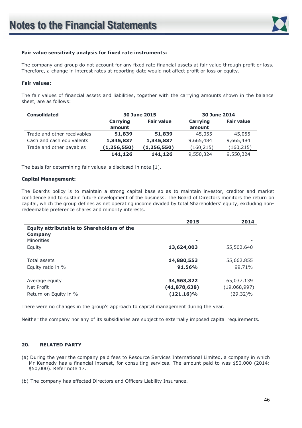

#### **Fair value sensitivity analysis for fixed rate instruments:**

The company and group do not account for any fixed rate financial assets at fair value through profit or loss. Therefore, a change in interest rates at reporting date would not affect profit or loss or equity.

#### **Fair values:**

The fair values of financial assets and liabilities, together with the carrying amounts shown in the balance sheet, are as follows:

| <b>Consolidated</b>         | <b>30 June 2015</b> |                   | <b>30 June 2014</b> |                   |
|-----------------------------|---------------------|-------------------|---------------------|-------------------|
|                             | Carrying<br>amount  | <b>Fair value</b> | Carrying<br>amount  | <b>Fair value</b> |
| Trade and other receivables | 51,839              | 51,839            | 45,055              | 45,055            |
| Cash and cash equivalents   | 1,345,837           | 1,345,837         | 9,665,484           | 9,665,484         |
| Trade and other payables    | (1, 256, 550)       | (1, 256, 550)     | (160, 215)          | (160, 215)        |
|                             | 141,126             | 141,126           | 9,550,324           | 9,550,324         |

The basis for determining fair values is disclosed in note [1].

#### **Capital Management:**

The Board's policy is to maintain a strong capital base so as to maintain investor, creditor and market confidence and to sustain future development of the business. The Board of Directors monitors the return on capital, which the group defines as net operating income divided by total Shareholders' equity, excluding nonredeemable preference shares and minority interests.

| 2015         | 2014                                                               |
|--------------|--------------------------------------------------------------------|
|              |                                                                    |
|              |                                                                    |
| ۰            |                                                                    |
|              | 55,502,640                                                         |
|              |                                                                    |
|              | 55,662,855                                                         |
|              |                                                                    |
|              | 99.71%                                                             |
|              | 65,037,139                                                         |
|              |                                                                    |
|              | (19,068,997)                                                       |
| $(121.16)\%$ | (29.32)%                                                           |
|              | 13,624,003<br>14,880,553<br>91.56%<br>34,563,322<br>(41, 878, 638) |

There were no changes in the group's approach to capital management during the year.

Neither the company nor any of its subsidiaries are subject to externally imposed capital requirements.

#### **20. RELATED PARTY**

- (a) During the year the company paid fees to Resource Services International Limited, a company in which Mr Kennedy has a financial interest, for consulting services. The amount paid to was \$50,000 (2014: \$50,000). Refer note 17.
- (b) The company has effected Directors and Officers Liability Insurance.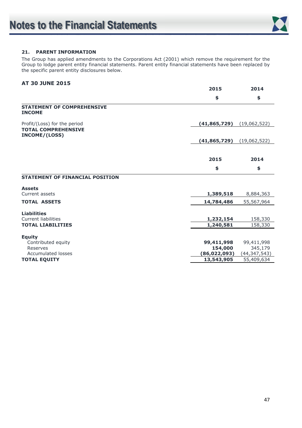

#### **21. PARENT INFORMATION**

The Group has applied amendments to the Corporations Act (2001) which remove the requirement for the Group to lodge parent entity financial statements. Parent entity financial statements have been replaced by the specific parent entity disclosures below.

#### **AT 30 JUNE 2015**

|                                                    | 2015           | 2014           |
|----------------------------------------------------|----------------|----------------|
|                                                    | \$             | \$             |
| <b>STATEMENT OF COMPREHENSIVE</b><br><b>INCOME</b> |                |                |
| Profit/(Loss) for the period                       | (41,865,729)   | (19,062,522)   |
| <b>TOTAL COMPREHENSIVE</b><br>INCOME/(LOSS)        |                |                |
|                                                    | (41, 865, 729) | (19,062,522)   |
|                                                    |                |                |
|                                                    | 2015           | 2014           |
|                                                    | \$             | \$             |
| <b>STATEMENT OF FINANCIAL POSITION</b>             |                |                |
| <b>Assets</b>                                      |                |                |
| Current assets                                     | 1,389,518      | 8,884,363      |
| <b>TOTAL ASSETS</b>                                | 14,784,486     | 55,567,964     |
| <b>Liabilities</b>                                 |                |                |
| <b>Current liabilities</b>                         | 1,232,154      | 158,330        |
| <b>TOTAL LIABILITIES</b>                           | 1,240,581      | 158,330        |
| <b>Equity</b>                                      |                |                |
| Contributed equity                                 | 99,411,998     | 99,411,998     |
| Reserves                                           | 154,000        | 345,179        |
| <b>Accumulated losses</b>                          | (86, 022, 093) | (44, 347, 543) |
| <b>TOTAL EQUITY</b>                                | 13,543,905     | 55,409,634     |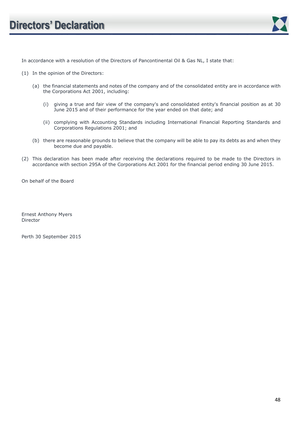

In accordance with a resolution of the Directors of Pancontinental Oil & Gas NL, I state that:

- (1) In the opinion of the Directors:
	- (a) the financial statements and notes of the company and of the consolidated entity are in accordance with the Corporations Act 2001, including:
		- (i) giving a true and fair view of the company's and consolidated entity's financial position as at 30 June 2015 and of their performance for the year ended on that date; and
		- (ii) complying with Accounting Standards including International Financial Reporting Standards and Corporations Regulations 2001; and
	- (b) there are reasonable grounds to believe that the company will be able to pay its debts as and when they become due and payable.
- (2) This declaration has been made after receiving the declarations required to be made to the Directors in accordance with section 295A of the Corporations Act 2001 for the financial period ending 30 June 2015.

On behalf of the Board

Ernest Anthony Myers Director

Perth 30 September 2015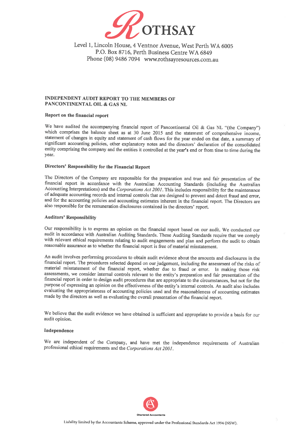

Level 1, Lincoln House, 4 Ventnor Avenue, West Perth WA 6005 P.O. Box 8716, Perth Business Centre WA 6849 Phone (08) 9486 7094 www.rothsayresources.com.au

#### **INDEPENDENT AUDIT REPORT TO THE MEMBERS OF** PANCONTINENTAL OIL & GAS NL

#### Report on the financial report

We have audited the accompanying financial report of Pancontinental Oil & Gas NL "(the Company") which comprises the balance sheet as at 30 June 2015 and the statement of comprehensive income, statement of changes in equity and statement of cash flows for the year ended on that date, a summary of significant accounting policies, other explanatory notes and the directors' declaration of the consolidated entity comprising the company and the entities it controlled at the year's end or from time to time during the year.

#### Directors' Responsibility for the Financial Report

The Directors of the Company are responsible for the preparation and true and fair presentation of the financial report in accordance with the Australian Accounting Standards (including the Australian Accounting Interpretations) and the Corporations Act 2001. This includes responsibility for the maintenance of adequate accounting records and internal controls that are designed to prevent and detect fraud and error, and for the accounting policies and accounting estimates inherent in the financial report. The Directors are also responsible for the remuneration disclosures contained in the directors' report.

#### **Auditors' Responsibility**

Our responsibility is to express an opinion on the financial report based on our audit. We conducted our audit in accordance with Australian Auditing Standards. These Auditing Standards require that we comply with relevant ethical requirements relating to audit engagements and plan and perform the audit to obtain reasonable assurance as to whether the financial report is free of material misstatement.

An audit involves performing procedures to obtain audit evidence about the amounts and disclosures in the financial report. The procedures selected depend on our judgement, including the assessment of the risks of material misstatement of the financial report, whether due to fraud or error. In making those risk assessments, we consider internal controls relevant to the entity's preparation and fair presentation of the financial report in order to design audit procedures that are appropriate to the circumstances, but not for the purpose of expressing an opinion on the effectiveness of the entity's internal controls. An audit also includes evaluating the appropriateness of accounting policies used and the reasonableness of accounting estimates made by the directors as well as evaluating the overall presentation of the financial report.

We believe that the audit evidence we have obtained is sufficient and appropriate to provide a basis for our audit opinion.

#### Independence

We are independent of the Company, and have met the independence requirements of Australian professional ethical requirements and the Corporations Act 2001.